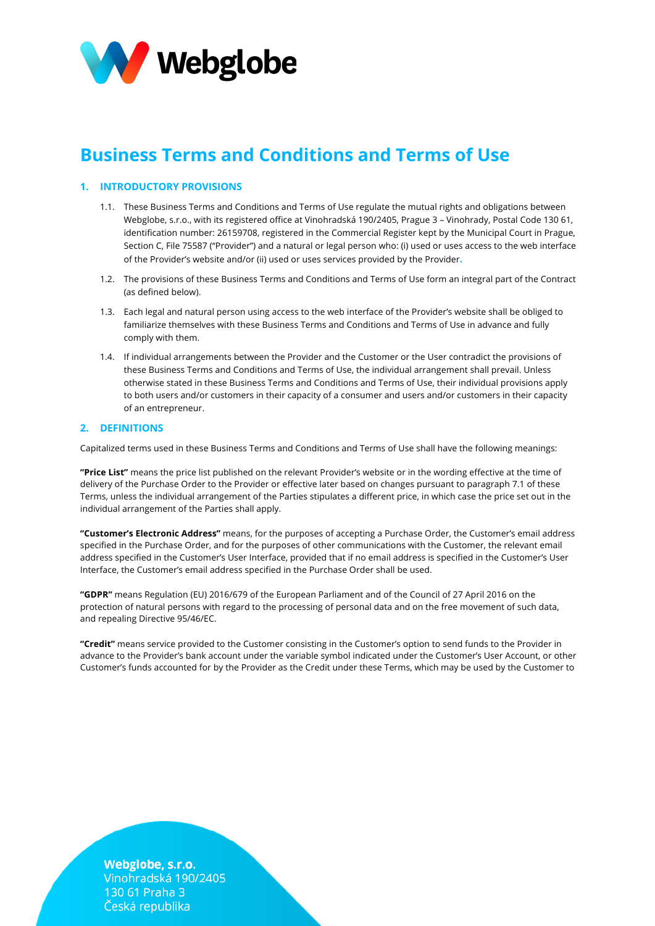

# **Business Terms and Conditions and Terms of Use**

# **1. INTRODUCTORY PROVISIONS**

- 1.1. These Business Terms and Conditions and Terms of Use regulate the mutual rights and obligations between Webglobe, s.r.o., with its registered office at Vinohradská 190/2405, Prague 3 – Vinohrady, Postal Code 130 61, identification number: 26159708, registered in the Commercial Register kept by the Municipal Court in Prague, Section C, File 75587 ("Provider") and a natural or legal person who: (i) used or uses access to the web interface of the Provider's website and/or (ii) used or uses services provided by the Provider**.**
- 1.2. The provisions of these Business Terms and Conditions and Terms of Use form an integral part of the Contract (as defined below).
- 1.3. Each legal and natural person using access to the web interface of the Provider's website shall be obliged to familiarize themselves with these Business Terms and Conditions and Terms of Use in advance and fully comply with them.
- 1.4. If individual arrangements between the Provider and the Customer or the User contradict the provisions of these Business Terms and Conditions and Terms of Use, the individual arrangement shall prevail. Unless otherwise stated in these Business Terms and Conditions and Terms of Use, their individual provisions apply to both users and/or customers in their capacity of a consumer and users and/or customers in their capacity of an entrepreneur.

## **2. DEFINITIONS**

Capitalized terms used in these Business Terms and Conditions and Terms of Use shall have the following meanings:

**"Price List"** means the price list published on the relevant Provider's website or in the wording effective at the time of delivery of the Purchase Order to the Provider or effective later based on changes pursuant to paragraph 7.1 of these Terms, unless the individual arrangement of the Parties stipulates a different price, in which case the price set out in the individual arrangement of the Parties shall apply.

**"Customer's Electronic Address"** means, for the purposes of accepting a Purchase Order, the Customer's email address specified in the Purchase Order, and for the purposes of other communications with the Customer, the relevant email address specified in the Customer's User Interface, provided that if no email address is specified in the Customer's User Interface, the Customer's email address specified in the Purchase Order shall be used.

**"GDPR"** means Regulation (EU) 2016/679 of the European Parliament and of the Council of 27 April 2016 on the protection of natural persons with regard to the processing of personal data and on the free movement of such data, and repealing Directive 95/46/EC.

**"Credit"** means service provided to the Customer consisting in the Customer's option to send funds to the Provider in advance to the Provider's bank account under the variable symbol indicated under the Customer's User Account, or other Customer's funds accounted for by the Provider as the Credit under these Terms, which may be used by the Customer to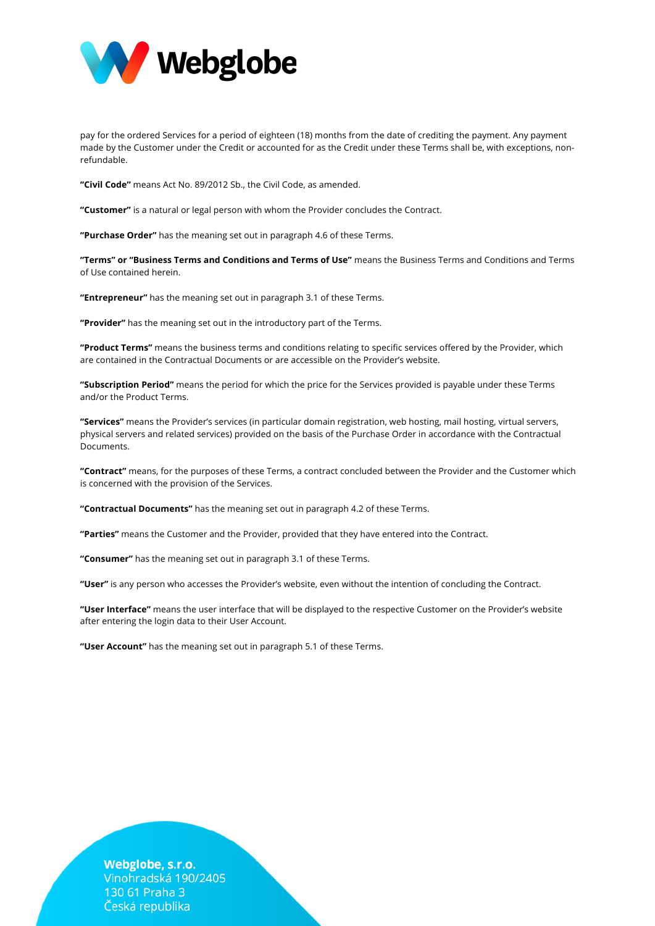

pay for the ordered Services for a period of eighteen (18) months from the date of crediting the payment. Any payment made by the Customer under the Credit or accounted for as the Credit under these Terms shall be, with exceptions, nonrefundable.

**"Civil Code"** means Act No. 89/2012 Sb., the Civil Code, as amended.

**"Customer"** is a natural or legal person with whom the Provider concludes the Contract.

**"Purchase Order"** has the meaning set out in paragraph 4.6 of these Terms.

**"Terms" or "Business Terms and Conditions and Terms of Use"** means the Business Terms and Conditions and Terms of Use contained herein.

**"Entrepreneur"** has the meaning set out in paragraph 3.1 of these Terms.

**"Provider"** has the meaning set out in the introductory part of the Terms.

**"Product Terms"** means the business terms and conditions relating to specific services offered by the Provider, which are contained in the Contractual Documents or are accessible on the Provider's website.

**"Subscription Period"** means the period for which the price for the Services provided is payable under these Terms and/or the Product Terms.

**"Services"** means the Provider's services (in particular domain registration, web hosting, mail hosting, virtual servers, physical servers and related services) provided on the basis of the Purchase Order in accordance with the Contractual Documents.

**"Contract"** means, for the purposes of these Terms, a contract concluded between the Provider and the Customer which is concerned with the provision of the Services.

**"Contractual Documents"** has the meaning set out in paragraph 4.2 of these Terms.

**"Parties"** means the Customer and the Provider, provided that they have entered into the Contract.

**"Consumer"** has the meaning set out in paragraph 3.1 of these Terms.

**"User"** is any person who accesses the Provider's website, even without the intention of concluding the Contract.

**"User Interface"** means the user interface that will be displayed to the respective Customer on the Provider's website after entering the login data to their User Account.

**"User Account"** has the meaning set out in paragraph 5.1 of these Terms.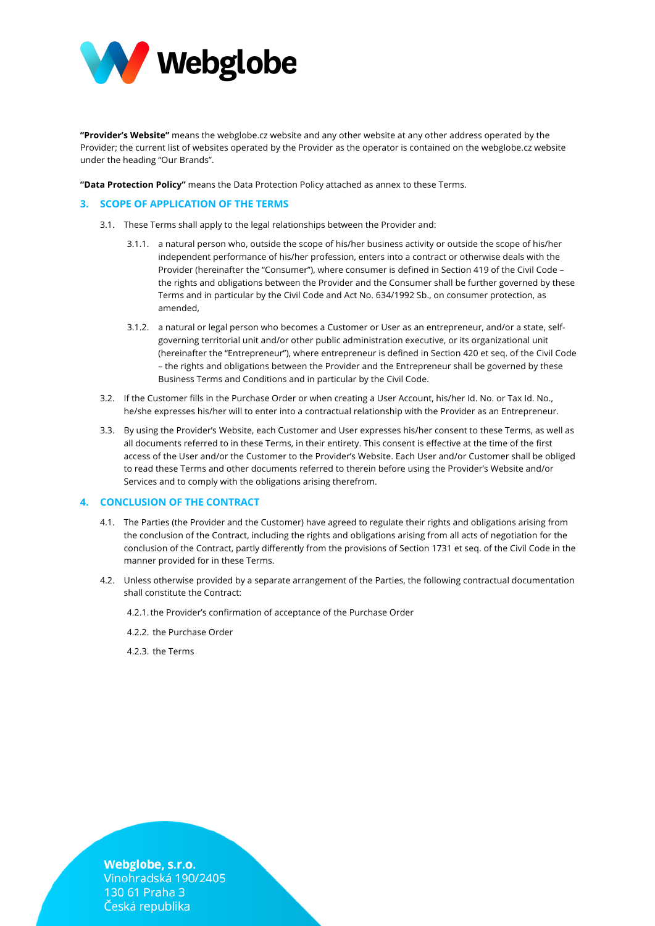

**"Provider's Website"** means the webglobe.cz website and any other website at any other address operated by the Provider; the current list of websites operated by the Provider as the operator is contained on the webglobe.cz website under the heading "Our Brands".

**"Data Protection Policy"** means the Data Protection Policy attached as annex to these Terms.

# **3. SCOPE OF APPLICATION OF THE TERMS**

- 3.1. These Terms shall apply to the legal relationships between the Provider and:
	- 3.1.1. a natural person who, outside the scope of his/her business activity or outside the scope of his/her independent performance of his/her profession, enters into a contract or otherwise deals with the Provider (hereinafter the "Consumer"), where consumer is defined in Section 419 of the Civil Code – the rights and obligations between the Provider and the Consumer shall be further governed by these Terms and in particular by the Civil Code and Act No. 634/1992 Sb., on consumer protection, as amended,
	- 3.1.2. a natural or legal person who becomes a Customer or User as an entrepreneur, and/or a state, selfgoverning territorial unit and/or other public administration executive, or its organizational unit (hereinafter the "Entrepreneur"), where entrepreneur is defined in Section 420 et seq. of the Civil Code – the rights and obligations between the Provider and the Entrepreneur shall be governed by these Business Terms and Conditions and in particular by the Civil Code.
- 3.2. If the Customer fills in the Purchase Order or when creating a User Account, his/her Id. No. or Tax Id. No., he/she expresses his/her will to enter into a contractual relationship with the Provider as an Entrepreneur.
- 3.3. By using the Provider's Website, each Customer and User expresses his/her consent to these Terms, as well as all documents referred to in these Terms, in their entirety. This consent is effective at the time of the first access of the User and/or the Customer to the Provider's Website. Each User and/or Customer shall be obliged to read these Terms and other documents referred to therein before using the Provider's Website and/or Services and to comply with the obligations arising therefrom.

# **4. CONCLUSION OF THE CONTRACT**

- 4.1. The Parties (the Provider and the Customer) have agreed to regulate their rights and obligations arising from the conclusion of the Contract, including the rights and obligations arising from all acts of negotiation for the conclusion of the Contract, partly differently from the provisions of Section 1731 et seq. of the Civil Code in the manner provided for in these Terms.
- 4.2. Unless otherwise provided by a separate arrangement of the Parties, the following contractual documentation shall constitute the Contract:

4.2.1.the Provider's confirmation of acceptance of the Purchase Order

4.2.2. the Purchase Order

4.2.3. the Terms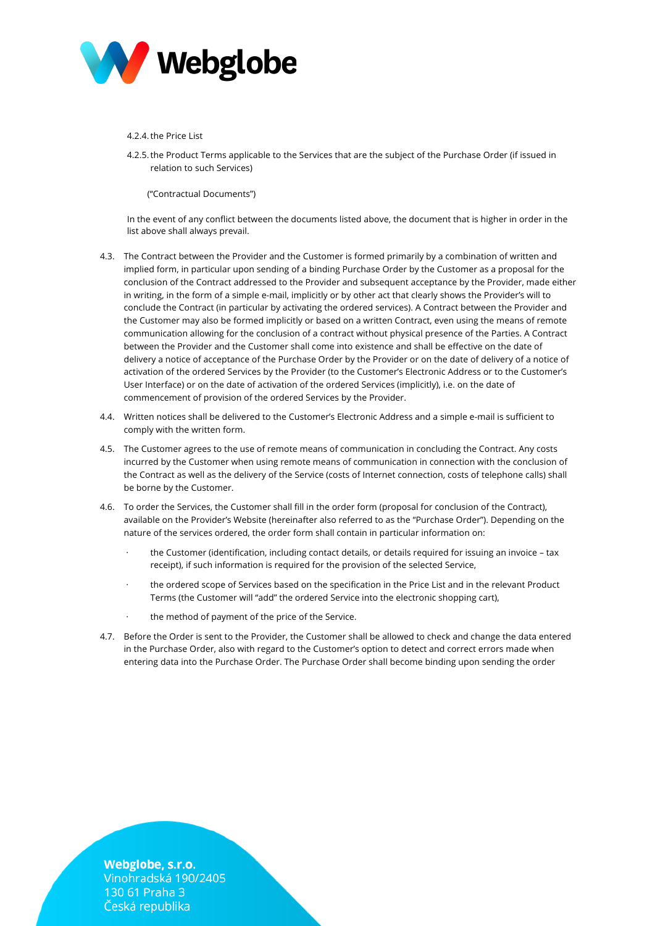

#### 4.2.4.the Price List

4.2.5.the Product Terms applicable to the Services that are the subject of the Purchase Order (if issued in relation to such Services)

("Contractual Documents")

In the event of any conflict between the documents listed above, the document that is higher in order in the list above shall always prevail.

- 4.3. The Contract between the Provider and the Customer is formed primarily by a combination of written and implied form, in particular upon sending of a binding Purchase Order by the Customer as a proposal for the conclusion of the Contract addressed to the Provider and subsequent acceptance by the Provider, made either in writing, in the form of a simple e-mail, implicitly or by other act that clearly shows the Provider's will to conclude the Contract (in particular by activating the ordered services). A Contract between the Provider and the Customer may also be formed implicitly or based on a written Contract, even using the means of remote communication allowing for the conclusion of a contract without physical presence of the Parties. A Contract between the Provider and the Customer shall come into existence and shall be effective on the date of delivery a notice of acceptance of the Purchase Order by the Provider or on the date of delivery of a notice of activation of the ordered Services by the Provider (to the Customer's Electronic Address or to the Customer's User Interface) or on the date of activation of the ordered Services (implicitly), i.e. on the date of commencement of provision of the ordered Services by the Provider.
- 4.4. Written notices shall be delivered to the Customer's Electronic Address and a simple e-mail is sufficient to comply with the written form.
- 4.5. The Customer agrees to the use of remote means of communication in concluding the Contract. Any costs incurred by the Customer when using remote means of communication in connection with the conclusion of the Contract as well as the delivery of the Service (costs of Internet connection, costs of telephone calls) shall be borne by the Customer.
- 4.6. To order the Services, the Customer shall fill in the order form (proposal for conclusion of the Contract), available on the Provider's Website (hereinafter also referred to as the "Purchase Order"). Depending on the nature of the services ordered, the order form shall contain in particular information on:
	- the Customer (identification, including contact details, or details required for issuing an invoice tax receipt), if such information is required for the provision of the selected Service,
	- the ordered scope of Services based on the specification in the Price List and in the relevant Product Terms (the Customer will "add" the ordered Service into the electronic shopping cart),
	- the method of payment of the price of the Service.
- 4.7. Before the Order is sent to the Provider, the Customer shall be allowed to check and change the data entered in the Purchase Order, also with regard to the Customer's option to detect and correct errors made when entering data into the Purchase Order. The Purchase Order shall become binding upon sending the order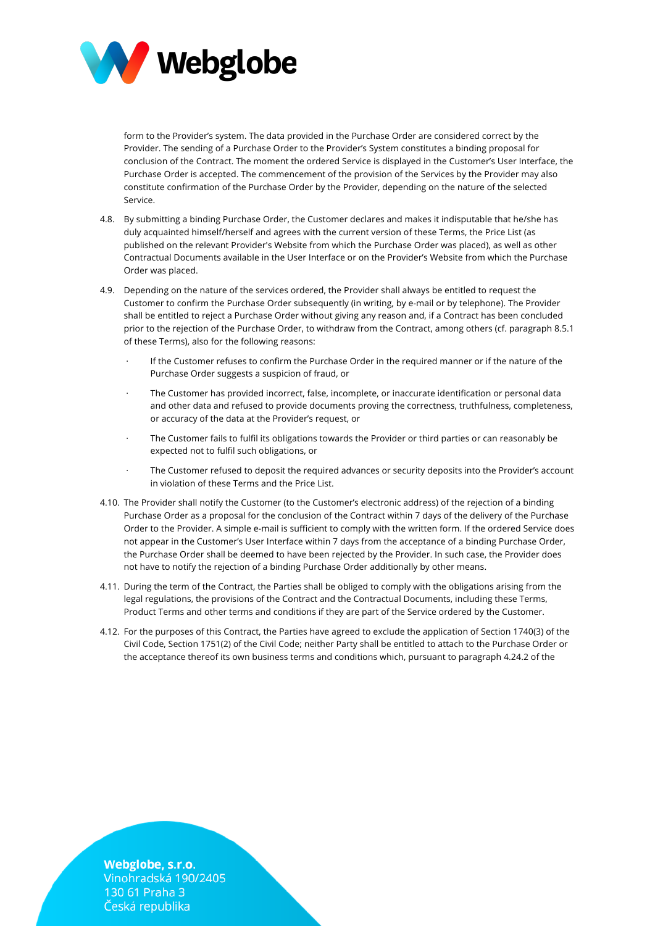

form to the Provider's system. The data provided in the Purchase Order are considered correct by the Provider. The sending of a Purchase Order to the Provider's System constitutes a binding proposal for conclusion of the Contract. The moment the ordered Service is displayed in the Customer's User Interface, the Purchase Order is accepted. The commencement of the provision of the Services by the Provider may also constitute confirmation of the Purchase Order by the Provider, depending on the nature of the selected Service.

- 4.8. By submitting a binding Purchase Order, the Customer declares and makes it indisputable that he/she has duly acquainted himself/herself and agrees with the current version of these Terms, the Price List (as published on the relevant Provider's Website from which the Purchase Order was placed), as well as other Contractual Documents available in the User Interface or on the Provider's Website from which the Purchase Order was placed.
- 4.9. Depending on the nature of the services ordered, the Provider shall always be entitled to request the Customer to confirm the Purchase Order subsequently (in writing, by e-mail or by telephone). The Provider shall be entitled to reject a Purchase Order without giving any reason and, if a Contract has been concluded prior to the rejection of the Purchase Order, to withdraw from the Contract, among others (cf. paragraph 8.5.1 of these Terms), also for the following reasons:
	- If the Customer refuses to confirm the Purchase Order in the required manner or if the nature of the Purchase Order suggests a suspicion of fraud, or
	- The Customer has provided incorrect, false, incomplete, or inaccurate identification or personal data and other data and refused to provide documents proving the correctness, truthfulness, completeness, or accuracy of the data at the Provider's request, or
	- The Customer fails to fulfil its obligations towards the Provider or third parties or can reasonably be expected not to fulfil such obligations, or
	- The Customer refused to deposit the required advances or security deposits into the Provider's account in violation of these Terms and the Price List.
- 4.10. The Provider shall notify the Customer (to the Customer's electronic address) of the rejection of a binding Purchase Order as a proposal for the conclusion of the Contract within 7 days of the delivery of the Purchase Order to the Provider. A simple e-mail is sufficient to comply with the written form. If the ordered Service does not appear in the Customer's User Interface within 7 days from the acceptance of a binding Purchase Order, the Purchase Order shall be deemed to have been rejected by the Provider. In such case, the Provider does not have to notify the rejection of a binding Purchase Order additionally by other means.
- 4.11. During the term of the Contract, the Parties shall be obliged to comply with the obligations arising from the legal regulations, the provisions of the Contract and the Contractual Documents, including these Terms, Product Terms and other terms and conditions if they are part of the Service ordered by the Customer.
- 4.12. For the purposes of this Contract, the Parties have agreed to exclude the application of Section 1740(3) of the Civil Code, Section 1751(2) of the Civil Code; neither Party shall be entitled to attach to the Purchase Order or the acceptance thereof its own business terms and conditions which, pursuant to paragraph 4.24.2 of the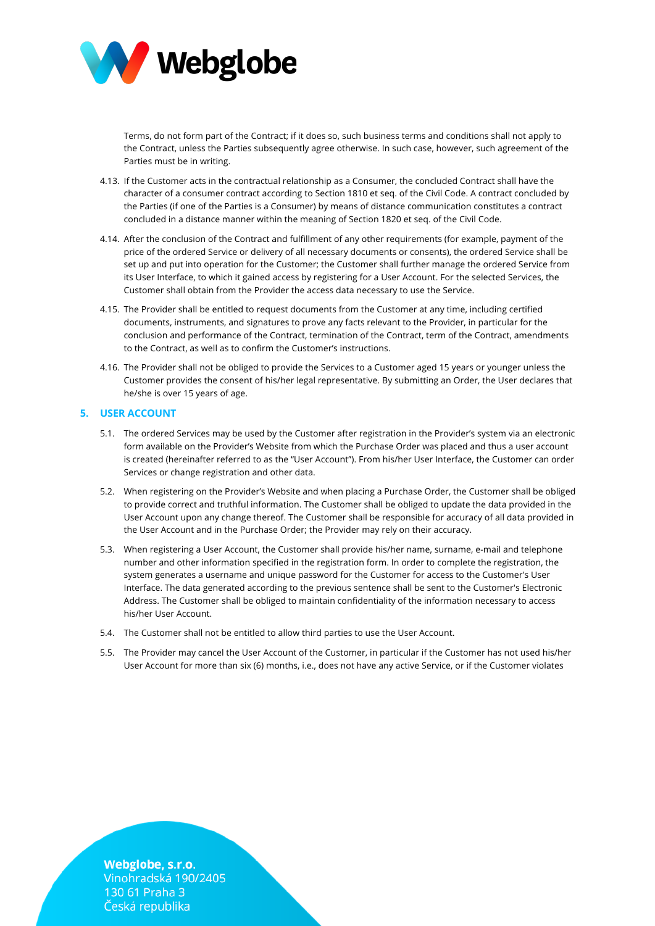

Terms, do not form part of the Contract; if it does so, such business terms and conditions shall not apply to the Contract, unless the Parties subsequently agree otherwise. In such case, however, such agreement of the Parties must be in writing.

- 4.13. If the Customer acts in the contractual relationship as a Consumer, the concluded Contract shall have the character of a consumer contract according to Section 1810 et seq. of the Civil Code. A contract concluded by the Parties (if one of the Parties is a Consumer) by means of distance communication constitutes a contract concluded in a distance manner within the meaning of Section 1820 et seq. of the Civil Code.
- 4.14. After the conclusion of the Contract and fulfillment of any other requirements (for example, payment of the price of the ordered Service or delivery of all necessary documents or consents), the ordered Service shall be set up and put into operation for the Customer; the Customer shall further manage the ordered Service from its User Interface, to which it gained access by registering for a User Account. For the selected Services, the Customer shall obtain from the Provider the access data necessary to use the Service.
- 4.15. The Provider shall be entitled to request documents from the Customer at any time, including certified documents, instruments, and signatures to prove any facts relevant to the Provider, in particular for the conclusion and performance of the Contract, termination of the Contract, term of the Contract, amendments to the Contract, as well as to confirm the Customer's instructions.
- 4.16. The Provider shall not be obliged to provide the Services to a Customer aged 15 years or younger unless the Customer provides the consent of his/her legal representative. By submitting an Order, the User declares that he/she is over 15 years of age.

# **5. USER ACCOUNT**

- 5.1. The ordered Services may be used by the Customer after registration in the Provider's system via an electronic form available on the Provider's Website from which the Purchase Order was placed and thus a user account is created (hereinafter referred to as the "User Account"). From his/her User Interface, the Customer can order Services or change registration and other data.
- 5.2. When registering on the Provider's Website and when placing a Purchase Order, the Customer shall be obliged to provide correct and truthful information. The Customer shall be obliged to update the data provided in the User Account upon any change thereof. The Customer shall be responsible for accuracy of all data provided in the User Account and in the Purchase Order; the Provider may rely on their accuracy.
- 5.3. When registering a User Account, the Customer shall provide his/her name, surname, e-mail and telephone number and other information specified in the registration form. In order to complete the registration, the system generates a username and unique password for the Customer for access to the Customer's User Interface. The data generated according to the previous sentence shall be sent to the Customer's Electronic Address. The Customer shall be obliged to maintain confidentiality of the information necessary to access his/her User Account.
- 5.4. The Customer shall not be entitled to allow third parties to use the User Account.
- 5.5. The Provider may cancel the User Account of the Customer, in particular if the Customer has not used his/her User Account for more than six (6) months, i.e., does not have any active Service, or if the Customer violates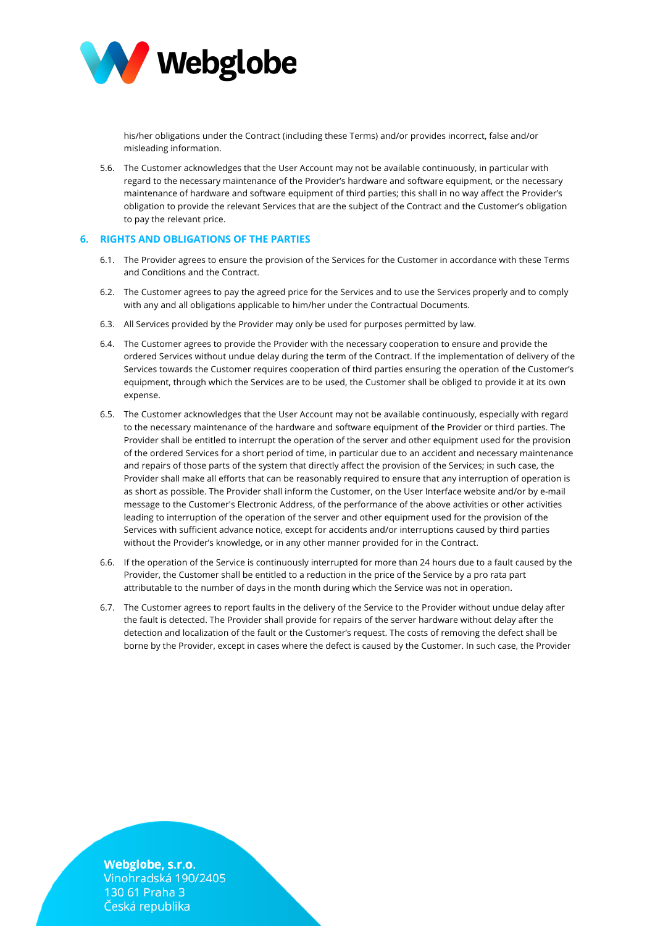

his/her obligations under the Contract (including these Terms) and/or provides incorrect, false and/or misleading information.

5.6. The Customer acknowledges that the User Account may not be available continuously, in particular with regard to the necessary maintenance of the Provider's hardware and software equipment, or the necessary maintenance of hardware and software equipment of third parties; this shall in no way affect the Provider's obligation to provide the relevant Services that are the subject of the Contract and the Customer's obligation to pay the relevant price.

# **6. RIGHTS AND OBLIGATIONS OF THE PARTIES**

- 6.1. The Provider agrees to ensure the provision of the Services for the Customer in accordance with these Terms and Conditions and the Contract.
- 6.2. The Customer agrees to pay the agreed price for the Services and to use the Services properly and to comply with any and all obligations applicable to him/her under the Contractual Documents.
- 6.3. All Services provided by the Provider may only be used for purposes permitted by law.
- 6.4. The Customer agrees to provide the Provider with the necessary cooperation to ensure and provide the ordered Services without undue delay during the term of the Contract. If the implementation of delivery of the Services towards the Customer requires cooperation of third parties ensuring the operation of the Customer's equipment, through which the Services are to be used, the Customer shall be obliged to provide it at its own expense.
- 6.5. The Customer acknowledges that the User Account may not be available continuously, especially with regard to the necessary maintenance of the hardware and software equipment of the Provider or third parties. The Provider shall be entitled to interrupt the operation of the server and other equipment used for the provision of the ordered Services for a short period of time, in particular due to an accident and necessary maintenance and repairs of those parts of the system that directly affect the provision of the Services; in such case, the Provider shall make all efforts that can be reasonably required to ensure that any interruption of operation is as short as possible. The Provider shall inform the Customer, on the User Interface website and/or by e-mail message to the Customer's Electronic Address, of the performance of the above activities or other activities leading to interruption of the operation of the server and other equipment used for the provision of the Services with sufficient advance notice, except for accidents and/or interruptions caused by third parties without the Provider's knowledge, or in any other manner provided for in the Contract.
- 6.6. If the operation of the Service is continuously interrupted for more than 24 hours due to a fault caused by the Provider, the Customer shall be entitled to a reduction in the price of the Service by a pro rata part attributable to the number of days in the month during which the Service was not in operation.
- 6.7. The Customer agrees to report faults in the delivery of the Service to the Provider without undue delay after the fault is detected. The Provider shall provide for repairs of the server hardware without delay after the detection and localization of the fault or the Customer's request. The costs of removing the defect shall be borne by the Provider, except in cases where the defect is caused by the Customer. In such case, the Provider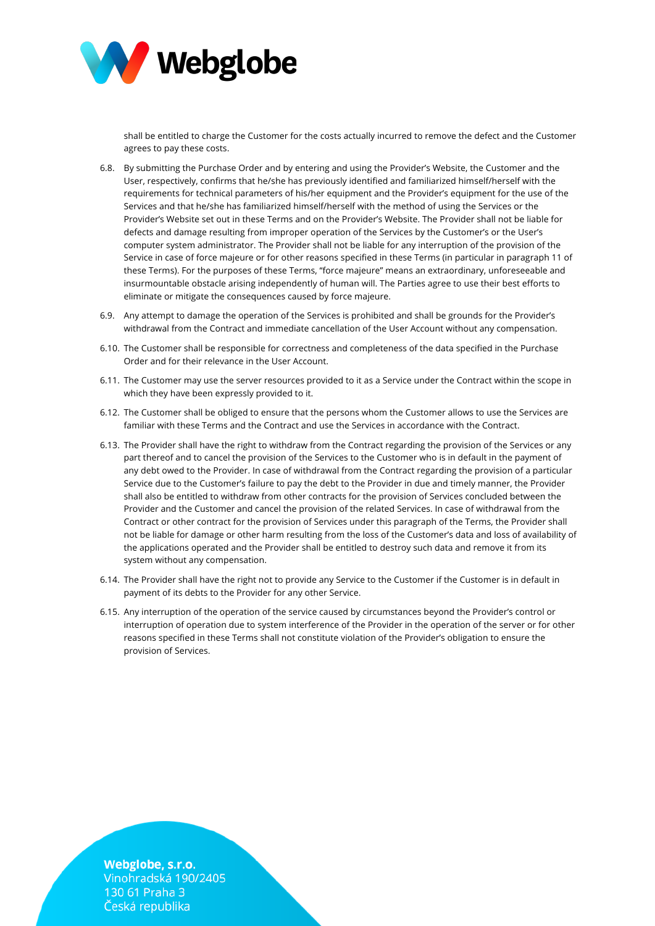

shall be entitled to charge the Customer for the costs actually incurred to remove the defect and the Customer agrees to pay these costs.

- 6.8. By submitting the Purchase Order and by entering and using the Provider's Website, the Customer and the User, respectively, confirms that he/she has previously identified and familiarized himself/herself with the requirements for technical parameters of his/her equipment and the Provider's equipment for the use of the Services and that he/she has familiarized himself/herself with the method of using the Services or the Provider's Website set out in these Terms and on the Provider's Website. The Provider shall not be liable for defects and damage resulting from improper operation of the Services by the Customer's or the User's computer system administrator. The Provider shall not be liable for any interruption of the provision of the Service in case of force majeure or for other reasons specified in these Terms (in particular in paragraph 11 of these Terms). For the purposes of these Terms, "force majeure" means an extraordinary, unforeseeable and insurmountable obstacle arising independently of human will. The Parties agree to use their best efforts to eliminate or mitigate the consequences caused by force majeure.
- 6.9. Any attempt to damage the operation of the Services is prohibited and shall be grounds for the Provider's withdrawal from the Contract and immediate cancellation of the User Account without any compensation.
- 6.10. The Customer shall be responsible for correctness and completeness of the data specified in the Purchase Order and for their relevance in the User Account.
- 6.11. The Customer may use the server resources provided to it as a Service under the Contract within the scope in which they have been expressly provided to it.
- 6.12. The Customer shall be obliged to ensure that the persons whom the Customer allows to use the Services are familiar with these Terms and the Contract and use the Services in accordance with the Contract.
- 6.13. The Provider shall have the right to withdraw from the Contract regarding the provision of the Services or any part thereof and to cancel the provision of the Services to the Customer who is in default in the payment of any debt owed to the Provider. In case of withdrawal from the Contract regarding the provision of a particular Service due to the Customer's failure to pay the debt to the Provider in due and timely manner, the Provider shall also be entitled to withdraw from other contracts for the provision of Services concluded between the Provider and the Customer and cancel the provision of the related Services. In case of withdrawal from the Contract or other contract for the provision of Services under this paragraph of the Terms, the Provider shall not be liable for damage or other harm resulting from the loss of the Customer's data and loss of availability of the applications operated and the Provider shall be entitled to destroy such data and remove it from its system without any compensation.
- 6.14. The Provider shall have the right not to provide any Service to the Customer if the Customer is in default in payment of its debts to the Provider for any other Service.
- 6.15. Any interruption of the operation of the service caused by circumstances beyond the Provider's control or interruption of operation due to system interference of the Provider in the operation of the server or for other reasons specified in these Terms shall not constitute violation of the Provider's obligation to ensure the provision of Services.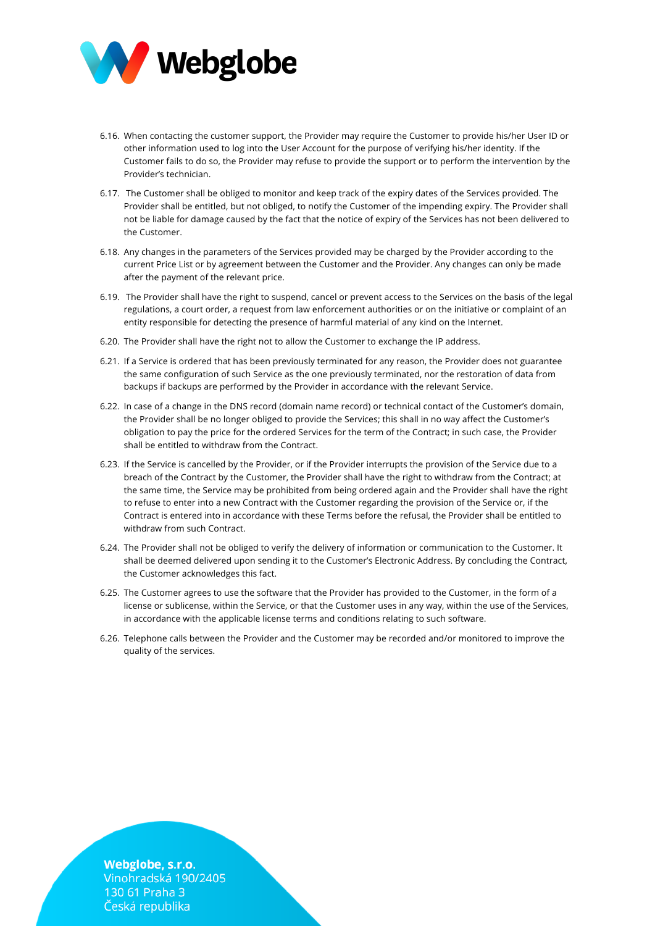

- 6.16. When contacting the customer support, the Provider may require the Customer to provide his/her User ID or other information used to log into the User Account for the purpose of verifying his/her identity. If the Customer fails to do so, the Provider may refuse to provide the support or to perform the intervention by the Provider's technician.
- 6.17. The Customer shall be obliged to monitor and keep track of the expiry dates of the Services provided. The Provider shall be entitled, but not obliged, to notify the Customer of the impending expiry. The Provider shall not be liable for damage caused by the fact that the notice of expiry of the Services has not been delivered to the Customer.
- 6.18. Any changes in the parameters of the Services provided may be charged by the Provider according to the current Price List or by agreement between the Customer and the Provider. Any changes can only be made after the payment of the relevant price.
- 6.19. The Provider shall have the right to suspend, cancel or prevent access to the Services on the basis of the legal regulations, a court order, a request from law enforcement authorities or on the initiative or complaint of an entity responsible for detecting the presence of harmful material of any kind on the Internet.
- 6.20. The Provider shall have the right not to allow the Customer to exchange the IP address.
- 6.21. If a Service is ordered that has been previously terminated for any reason, the Provider does not guarantee the same configuration of such Service as the one previously terminated, nor the restoration of data from backups if backups are performed by the Provider in accordance with the relevant Service.
- 6.22. In case of a change in the DNS record (domain name record) or technical contact of the Customer's domain, the Provider shall be no longer obliged to provide the Services; this shall in no way affect the Customer's obligation to pay the price for the ordered Services for the term of the Contract; in such case, the Provider shall be entitled to withdraw from the Contract.
- 6.23. If the Service is cancelled by the Provider, or if the Provider interrupts the provision of the Service due to a breach of the Contract by the Customer, the Provider shall have the right to withdraw from the Contract; at the same time, the Service may be prohibited from being ordered again and the Provider shall have the right to refuse to enter into a new Contract with the Customer regarding the provision of the Service or, if the Contract is entered into in accordance with these Terms before the refusal, the Provider shall be entitled to withdraw from such Contract.
- 6.24. The Provider shall not be obliged to verify the delivery of information or communication to the Customer. It shall be deemed delivered upon sending it to the Customer's Electronic Address. By concluding the Contract, the Customer acknowledges this fact.
- 6.25. The Customer agrees to use the software that the Provider has provided to the Customer, in the form of a license or sublicense, within the Service, or that the Customer uses in any way, within the use of the Services, in accordance with the applicable license terms and conditions relating to such software.
- 6.26. Telephone calls between the Provider and the Customer may be recorded and/or monitored to improve the quality of the services.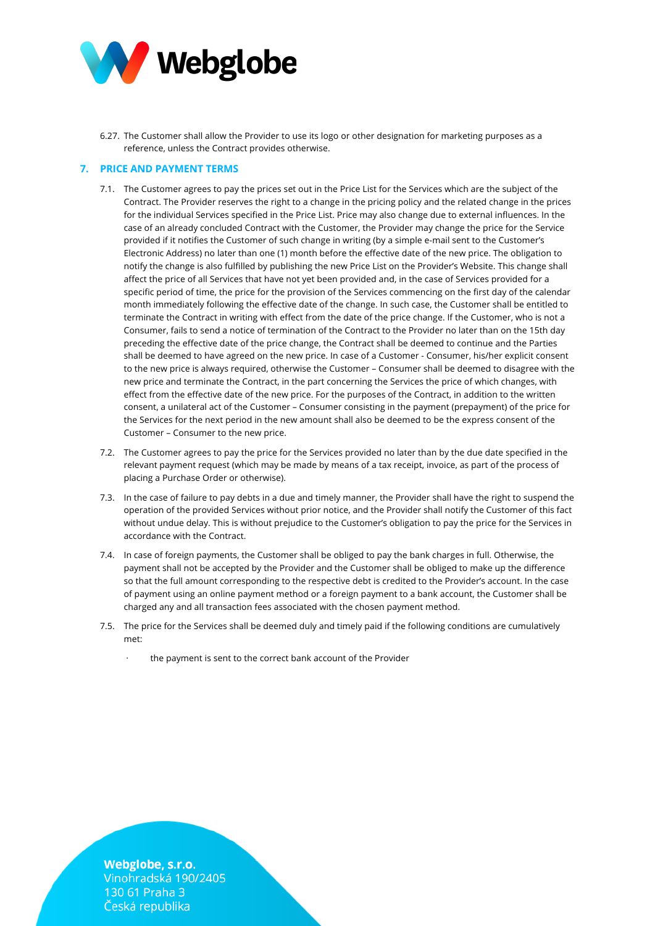

6.27. The Customer shall allow the Provider to use its logo or other designation for marketing purposes as a reference, unless the Contract provides otherwise.

# **7. PRICE AND PAYMENT TERMS**

- 7.1. The Customer agrees to pay the prices set out in the Price List for the Services which are the subject of the Contract. The Provider reserves the right to a change in the pricing policy and the related change in the prices for the individual Services specified in the Price List. Price may also change due to external influences. In the case of an already concluded Contract with the Customer, the Provider may change the price for the Service provided if it notifies the Customer of such change in writing (by a simple e-mail sent to the Customer's Electronic Address) no later than one (1) month before the effective date of the new price. The obligation to notify the change is also fulfilled by publishing the new Price List on the Provider's Website. This change shall affect the price of all Services that have not yet been provided and, in the case of Services provided for a specific period of time, the price for the provision of the Services commencing on the first day of the calendar month immediately following the effective date of the change. In such case, the Customer shall be entitled to terminate the Contract in writing with effect from the date of the price change. If the Customer, who is not a Consumer, fails to send a notice of termination of the Contract to the Provider no later than on the 15th day preceding the effective date of the price change, the Contract shall be deemed to continue and the Parties shall be deemed to have agreed on the new price. In case of a Customer - Consumer, his/her explicit consent to the new price is always required, otherwise the Customer – Consumer shall be deemed to disagree with the new price and terminate the Contract, in the part concerning the Services the price of which changes, with effect from the effective date of the new price. For the purposes of the Contract, in addition to the written consent, a unilateral act of the Customer – Consumer consisting in the payment (prepayment) of the price for the Services for the next period in the new amount shall also be deemed to be the express consent of the Customer – Consumer to the new price.
- 7.2. The Customer agrees to pay the price for the Services provided no later than by the due date specified in the relevant payment request (which may be made by means of a tax receipt, invoice, as part of the process of placing a Purchase Order or otherwise).
- 7.3. In the case of failure to pay debts in a due and timely manner, the Provider shall have the right to suspend the operation of the provided Services without prior notice, and the Provider shall notify the Customer of this fact without undue delay. This is without prejudice to the Customer's obligation to pay the price for the Services in accordance with the Contract.
- 7.4. In case of foreign payments, the Customer shall be obliged to pay the bank charges in full. Otherwise, the payment shall not be accepted by the Provider and the Customer shall be obliged to make up the difference so that the full amount corresponding to the respective debt is credited to the Provider's account. In the case of payment using an online payment method or a foreign payment to a bank account, the Customer shall be charged any and all transaction fees associated with the chosen payment method.
- 7.5. The price for the Services shall be deemed duly and timely paid if the following conditions are cumulatively met:
	- the payment is sent to the correct bank account of the Provider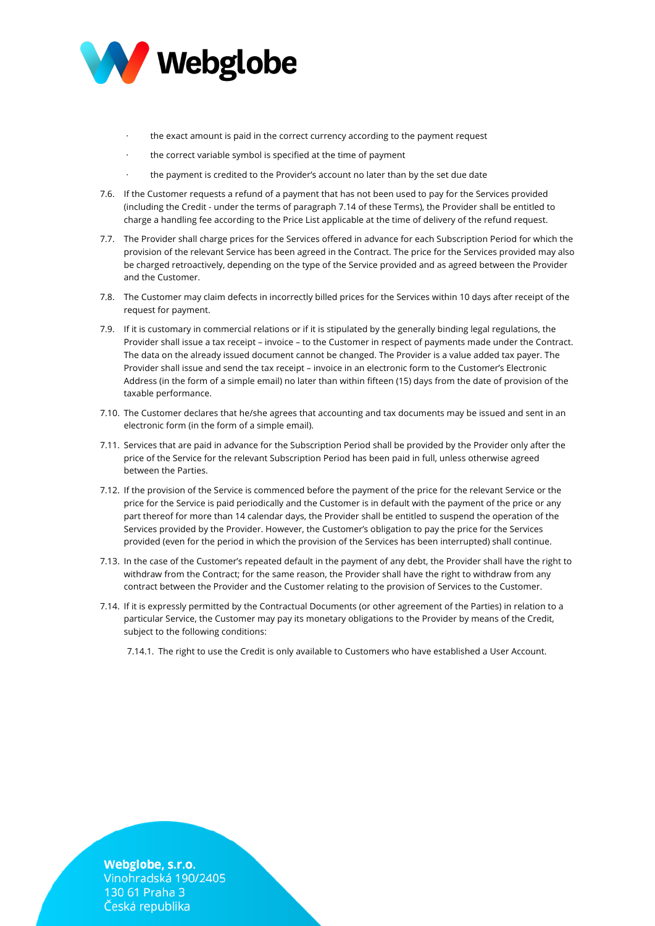

- the exact amount is paid in the correct currency according to the payment request
- the correct variable symbol is specified at the time of payment
- the payment is credited to the Provider's account no later than by the set due date
- 7.6. If the Customer requests a refund of a payment that has not been used to pay for the Services provided (including the Credit - under the terms of paragraph 7.14 of these Terms), the Provider shall be entitled to charge a handling fee according to the Price List applicable at the time of delivery of the refund request.
- 7.7. The Provider shall charge prices for the Services offered in advance for each Subscription Period for which the provision of the relevant Service has been agreed in the Contract. The price for the Services provided may also be charged retroactively, depending on the type of the Service provided and as agreed between the Provider and the Customer.
- 7.8. The Customer may claim defects in incorrectly billed prices for the Services within 10 days after receipt of the request for payment.
- 7.9. If it is customary in commercial relations or if it is stipulated by the generally binding legal regulations, the Provider shall issue a tax receipt – invoice – to the Customer in respect of payments made under the Contract. The data on the already issued document cannot be changed. The Provider is a value added tax payer. The Provider shall issue and send the tax receipt – invoice in an electronic form to the Customer's Electronic Address (in the form of a simple email) no later than within fifteen (15) days from the date of provision of the taxable performance.
- 7.10. The Customer declares that he/she agrees that accounting and tax documents may be issued and sent in an electronic form (in the form of a simple email).
- 7.11. Services that are paid in advance for the Subscription Period shall be provided by the Provider only after the price of the Service for the relevant Subscription Period has been paid in full, unless otherwise agreed between the Parties.
- 7.12. If the provision of the Service is commenced before the payment of the price for the relevant Service or the price for the Service is paid periodically and the Customer is in default with the payment of the price or any part thereof for more than 14 calendar days, the Provider shall be entitled to suspend the operation of the Services provided by the Provider. However, the Customer's obligation to pay the price for the Services provided (even for the period in which the provision of the Services has been interrupted) shall continue.
- 7.13. In the case of the Customer's repeated default in the payment of any debt, the Provider shall have the right to withdraw from the Contract; for the same reason, the Provider shall have the right to withdraw from any contract between the Provider and the Customer relating to the provision of Services to the Customer.
- 7.14. If it is expressly permitted by the Contractual Documents (or other agreement of the Parties) in relation to a particular Service, the Customer may pay its monetary obligations to the Provider by means of the Credit, subject to the following conditions:

7.14.1. The right to use the Credit is only available to Customers who have established a User Account.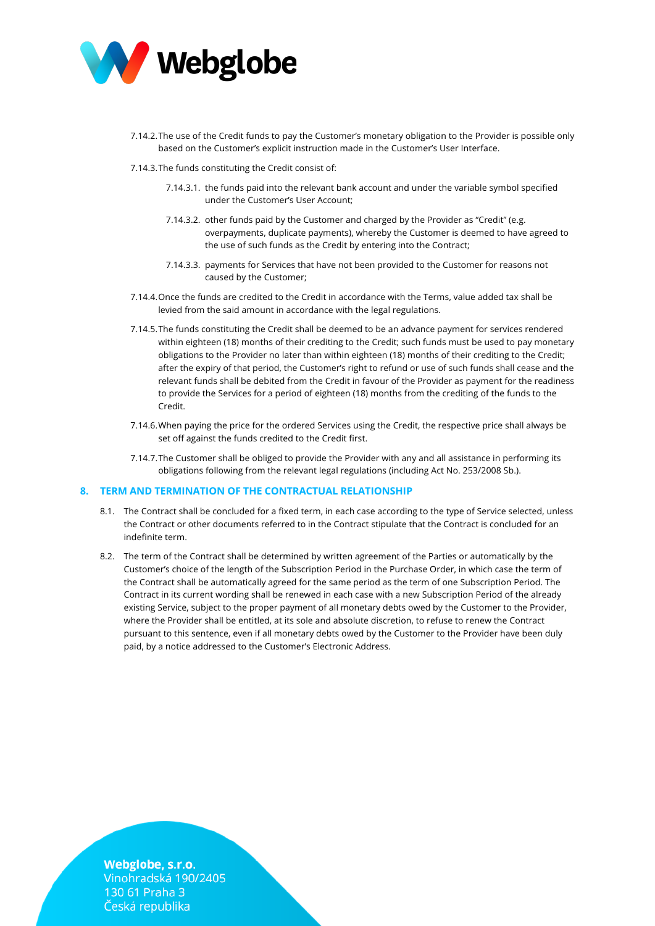

- 7.14.2.The use of the Credit funds to pay the Customer's monetary obligation to the Provider is possible only based on the Customer's explicit instruction made in the Customer's User Interface.
- 7.14.3.The funds constituting the Credit consist of:
	- 7.14.3.1. the funds paid into the relevant bank account and under the variable symbol specified under the Customer's User Account;
	- 7.14.3.2. other funds paid by the Customer and charged by the Provider as "Credit" (e.g. overpayments, duplicate payments), whereby the Customer is deemed to have agreed to the use of such funds as the Credit by entering into the Contract;
	- 7.14.3.3. payments for Services that have not been provided to the Customer for reasons not caused by the Customer;
- 7.14.4.Once the funds are credited to the Credit in accordance with the Terms, value added tax shall be levied from the said amount in accordance with the legal regulations.
- 7.14.5.The funds constituting the Credit shall be deemed to be an advance payment for services rendered within eighteen (18) months of their crediting to the Credit; such funds must be used to pay monetary obligations to the Provider no later than within eighteen (18) months of their crediting to the Credit; after the expiry of that period, the Customer's right to refund or use of such funds shall cease and the relevant funds shall be debited from the Credit in favour of the Provider as payment for the readiness to provide the Services for a period of eighteen (18) months from the crediting of the funds to the Credit.
- 7.14.6.When paying the price for the ordered Services using the Credit, the respective price shall always be set off against the funds credited to the Credit first.
- 7.14.7.The Customer shall be obliged to provide the Provider with any and all assistance in performing its obligations following from the relevant legal regulations (including Act No. 253/2008 Sb.).

## **8. TERM AND TERMINATION OF THE CONTRACTUAL RELATIONSHIP**

- 8.1. The Contract shall be concluded for a fixed term, in each case according to the type of Service selected, unless the Contract or other documents referred to in the Contract stipulate that the Contract is concluded for an indefinite term.
- 8.2. The term of the Contract shall be determined by written agreement of the Parties or automatically by the Customer's choice of the length of the Subscription Period in the Purchase Order, in which case the term of the Contract shall be automatically agreed for the same period as the term of one Subscription Period. The Contract in its current wording shall be renewed in each case with a new Subscription Period of the already existing Service, subject to the proper payment of all monetary debts owed by the Customer to the Provider, where the Provider shall be entitled, at its sole and absolute discretion, to refuse to renew the Contract pursuant to this sentence, even if all monetary debts owed by the Customer to the Provider have been duly paid, by a notice addressed to the Customer's Electronic Address.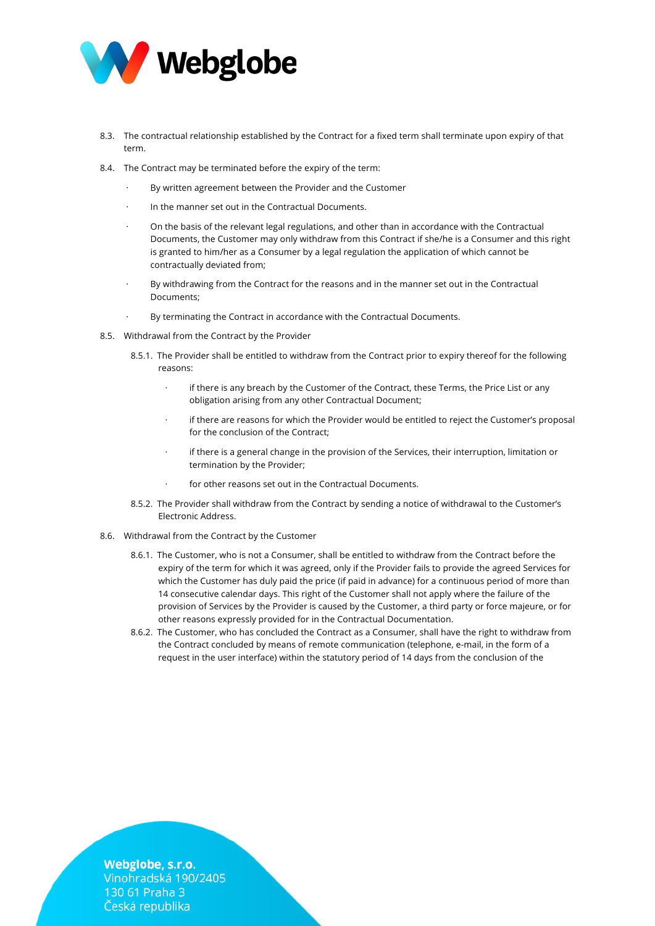

- 8.3. The contractual relationship established by the Contract for a fixed term shall terminate upon expiry of that term.
- 8.4. The Contract may be terminated before the expiry of the term:
	- By written agreement between the Provider and the Customer
	- In the manner set out in the Contractual Documents.
	- · On the basis of the relevant legal regulations, and other than in accordance with the Contractual Documents, the Customer may only withdraw from this Contract if she/he is a Consumer and this right is granted to him/her as a Consumer by a legal regulation the application of which cannot be contractually deviated from;
	- By withdrawing from the Contract for the reasons and in the manner set out in the Contractual Documents;
	- By terminating the Contract in accordance with the Contractual Documents.
- 8.5. Withdrawal from the Contract by the Provider
	- 8.5.1. The Provider shall be entitled to withdraw from the Contract prior to expiry thereof for the following reasons:
		- if there is any breach by the Customer of the Contract, these Terms, the Price List or any obligation arising from any other Contractual Document;
		- if there are reasons for which the Provider would be entitled to reject the Customer's proposal for the conclusion of the Contract;
		- if there is a general change in the provision of the Services, their interruption, limitation or termination by the Provider;
		- for other reasons set out in the Contractual Documents.
	- 8.5.2. The Provider shall withdraw from the Contract by sending a notice of withdrawal to the Customer's Electronic Address.
- 8.6. Withdrawal from the Contract by the Customer
	- 8.6.1. The Customer, who is not a Consumer, shall be entitled to withdraw from the Contract before the expiry of the term for which it was agreed, only if the Provider fails to provide the agreed Services for which the Customer has duly paid the price (if paid in advance) for a continuous period of more than 14 consecutive calendar days. This right of the Customer shall not apply where the failure of the provision of Services by the Provider is caused by the Customer, a third party or force majeure, or for other reasons expressly provided for in the Contractual Documentation.
	- 8.6.2. The Customer, who has concluded the Contract as a Consumer, shall have the right to withdraw from the Contract concluded by means of remote communication (telephone, e-mail, in the form of a request in the user interface) within the statutory period of 14 days from the conclusion of the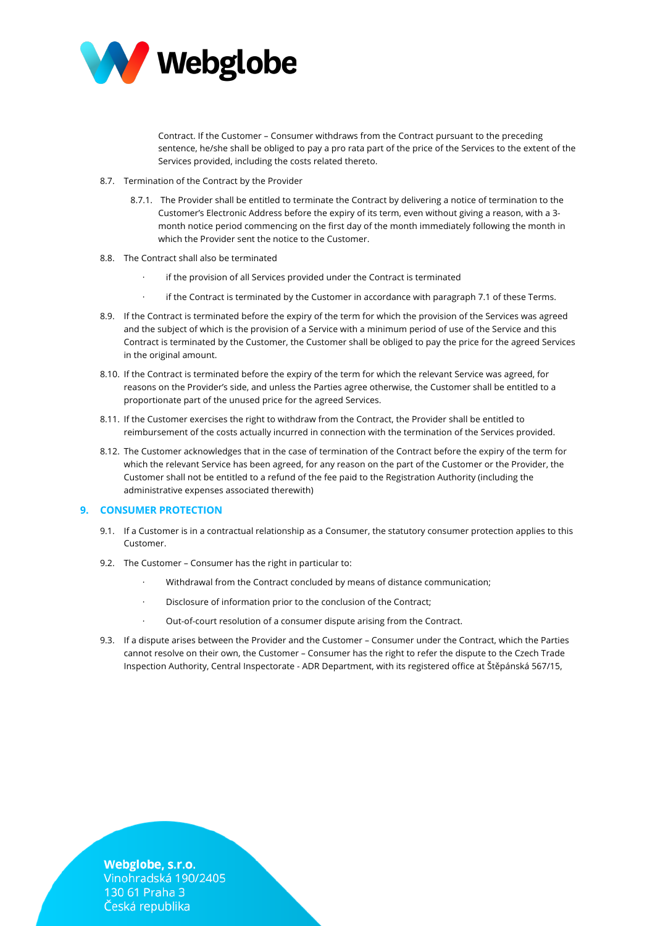

Contract. If the Customer – Consumer withdraws from the Contract pursuant to the preceding sentence, he/she shall be obliged to pay a pro rata part of the price of the Services to the extent of the Services provided, including the costs related thereto.

- 8.7. Termination of the Contract by the Provider
	- 8.7.1. The Provider shall be entitled to terminate the Contract by delivering a notice of termination to the Customer's Electronic Address before the expiry of its term, even without giving a reason, with a 3 month notice period commencing on the first day of the month immediately following the month in which the Provider sent the notice to the Customer.
- 8.8. The Contract shall also be terminated
	- if the provision of all Services provided under the Contract is terminated
	- if the Contract is terminated by the Customer in accordance with paragraph 7.1 of these Terms.
- 8.9. If the Contract is terminated before the expiry of the term for which the provision of the Services was agreed and the subject of which is the provision of a Service with a minimum period of use of the Service and this Contract is terminated by the Customer, the Customer shall be obliged to pay the price for the agreed Services in the original amount.
- 8.10. If the Contract is terminated before the expiry of the term for which the relevant Service was agreed, for reasons on the Provider's side, and unless the Parties agree otherwise, the Customer shall be entitled to a proportionate part of the unused price for the agreed Services.
- 8.11. If the Customer exercises the right to withdraw from the Contract, the Provider shall be entitled to reimbursement of the costs actually incurred in connection with the termination of the Services provided.
- 8.12. The Customer acknowledges that in the case of termination of the Contract before the expiry of the term for which the relevant Service has been agreed, for any reason on the part of the Customer or the Provider, the Customer shall not be entitled to a refund of the fee paid to the Registration Authority (including the administrative expenses associated therewith)

## **9. CONSUMER PROTECTION**

- 9.1. If a Customer is in a contractual relationship as a Consumer, the statutory consumer protection applies to this Customer.
- 9.2. The Customer Consumer has the right in particular to:
	- Withdrawal from the Contract concluded by means of distance communication;
	- · Disclosure of information prior to the conclusion of the Contract;
	- · Out-of-court resolution of a consumer dispute arising from the Contract.
- 9.3. If a dispute arises between the Provider and the Customer Consumer under the Contract, which the Parties cannot resolve on their own, the Customer – Consumer has the right to refer the dispute to the Czech Trade Inspection Authority, Central Inspectorate - ADR Department, with its registered office at Štěpánská 567/15,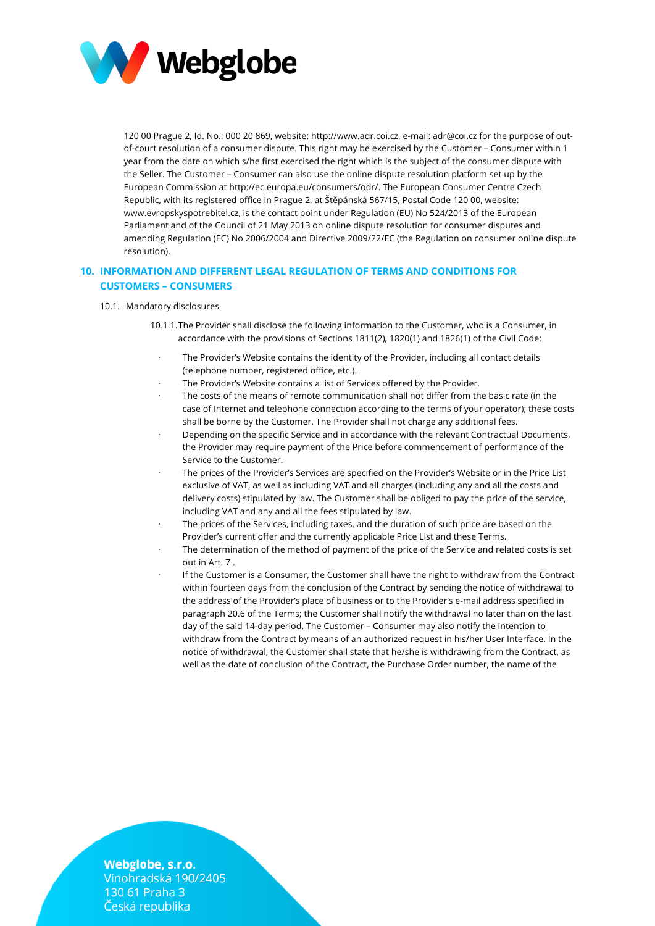

120 00 Prague 2, Id. No.: 000 20 869, website: http://www.adr.coi.cz, e-mail: adr@coi.cz for the purpose of outof-court resolution of a consumer dispute. This right may be exercised by the Customer – Consumer within 1 year from the date on which s/he first exercised the right which is the subject of the consumer dispute with the Seller. The Customer – Consumer can also use the online dispute resolution platform set up by the European Commission at http://ec.europa.eu/consumers/odr/. The European Consumer Centre Czech Republic, with its registered office in Prague 2, at Štěpánská 567/15, Postal Code 120 00, website: www.evropskyspotrebitel.cz, is the contact point under Regulation (EU) No 524/2013 of the European Parliament and of the Council of 21 May 2013 on online dispute resolution for consumer disputes and amending Regulation (EC) No 2006/2004 and Directive 2009/22/EC (the Regulation on consumer online dispute resolution).

# **10. INFORMATION AND DIFFERENT LEGAL REGULATION OF TERMS AND CONDITIONS FOR CUSTOMERS – CONSUMERS**

## 10.1. Mandatory disclosures

- 10.1.1.The Provider shall disclose the following information to the Customer, who is a Consumer, in accordance with the provisions of Sections 1811(2), 1820(1) and 1826(1) of the Civil Code:
	- The Provider's Website contains the identity of the Provider, including all contact details (telephone number, registered office, etc.).
	- The Provider's Website contains a list of Services offered by the Provider.
	- The costs of the means of remote communication shall not differ from the basic rate (in the case of Internet and telephone connection according to the terms of your operator); these costs shall be borne by the Customer. The Provider shall not charge any additional fees.
	- Depending on the specific Service and in accordance with the relevant Contractual Documents, the Provider may require payment of the Price before commencement of performance of the Service to the Customer.
	- The prices of the Provider's Services are specified on the Provider's Website or in the Price List exclusive of VAT, as well as including VAT and all charges (including any and all the costs and delivery costs) stipulated by law. The Customer shall be obliged to pay the price of the service, including VAT and any and all the fees stipulated by law.
	- The prices of the Services, including taxes, and the duration of such price are based on the Provider's current offer and the currently applicable Price List and these Terms.
	- · The determination of the method of payment of the price of the Service and related costs is set out in Art. 7 .
	- · If the Customer is a Consumer, the Customer shall have the right to withdraw from the Contract within fourteen days from the conclusion of the Contract by sending the notice of withdrawal to the address of the Provider's place of business or to the Provider's e-mail address specified in paragraph 20.6 of the Terms; the Customer shall notify the withdrawal no later than on the last day of the said 14-day period. The Customer – Consumer may also notify the intention to withdraw from the Contract by means of an authorized request in his/her User Interface. In the notice of withdrawal, the Customer shall state that he/she is withdrawing from the Contract, as well as the date of conclusion of the Contract, the Purchase Order number, the name of the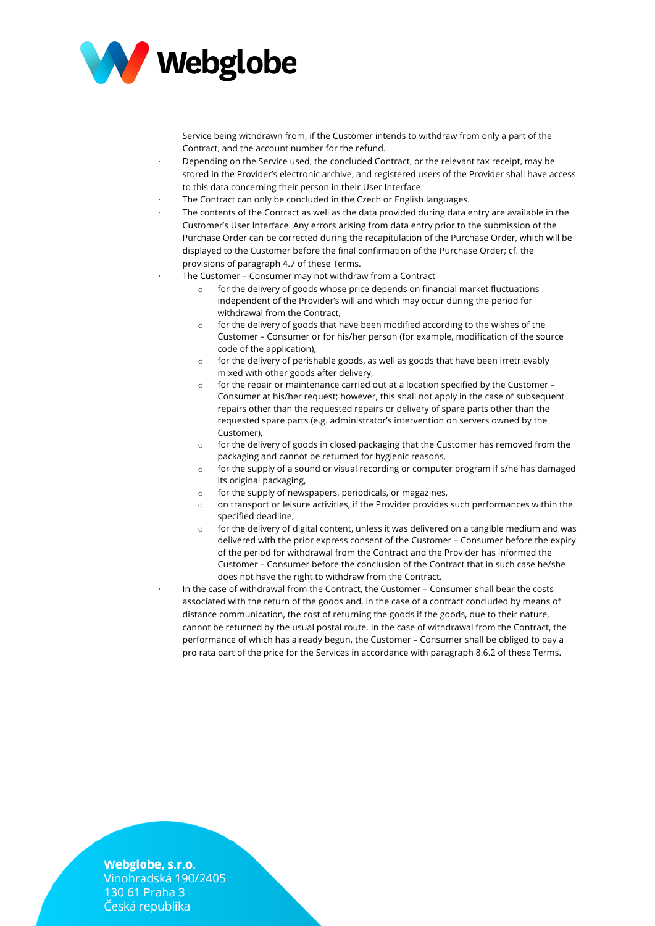

Service being withdrawn from, if the Customer intends to withdraw from only a part of the Contract, and the account number for the refund.

- · Depending on the Service used, the concluded Contract, or the relevant tax receipt, may be stored in the Provider's electronic archive, and registered users of the Provider shall have access to this data concerning their person in their User Interface.
- The Contract can only be concluded in the Czech or English languages.
- The contents of the Contract as well as the data provided during data entry are available in the Customer's User Interface. Any errors arising from data entry prior to the submission of the Purchase Order can be corrected during the recapitulation of the Purchase Order, which will be displayed to the Customer before the final confirmation of the Purchase Order; cf. the provisions of paragraph 4.7 of these Terms.
- The Customer Consumer may not withdraw from a Contract
	- $\circ$  for the delivery of goods whose price depends on financial market fluctuations independent of the Provider's will and which may occur during the period for withdrawal from the Contract,
	- o for the delivery of goods that have been modified according to the wishes of the Customer – Consumer or for his/her person (for example, modification of the source code of the application),
	- o for the delivery of perishable goods, as well as goods that have been irretrievably mixed with other goods after delivery,
	- o for the repair or maintenance carried out at a location specified by the Customer Consumer at his/her request; however, this shall not apply in the case of subsequent repairs other than the requested repairs or delivery of spare parts other than the requested spare parts (e.g. administrator's intervention on servers owned by the Customer),
	- o for the delivery of goods in closed packaging that the Customer has removed from the packaging and cannot be returned for hygienic reasons,
	- o for the supply of a sound or visual recording or computer program if s/he has damaged its original packaging,
	- o for the supply of newspapers, periodicals, or magazines,
	- o on transport or leisure activities, if the Provider provides such performances within the specified deadline,
	- $\circ$  for the delivery of digital content, unless it was delivered on a tangible medium and was delivered with the prior express consent of the Customer – Consumer before the expiry of the period for withdrawal from the Contract and the Provider has informed the Customer – Consumer before the conclusion of the Contract that in such case he/she does not have the right to withdraw from the Contract.
	- In the case of withdrawal from the Contract, the Customer Consumer shall bear the costs associated with the return of the goods and, in the case of a contract concluded by means of distance communication, the cost of returning the goods if the goods, due to their nature, cannot be returned by the usual postal route. In the case of withdrawal from the Contract, the performance of which has already begun, the Customer – Consumer shall be obliged to pay a pro rata part of the price for the Services in accordance with paragraph 8.6.2 of these Terms.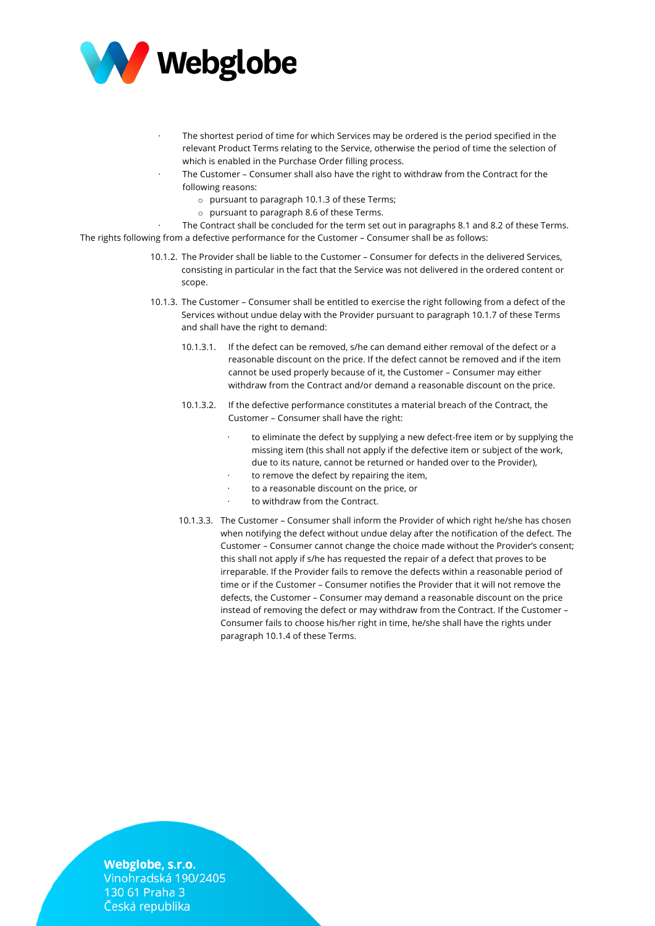

- The shortest period of time for which Services may be ordered is the period specified in the relevant Product Terms relating to the Service, otherwise the period of time the selection of which is enabled in the Purchase Order filling process.
- The Customer Consumer shall also have the right to withdraw from the Contract for the following reasons:
	- o pursuant to paragraph 10.1.3 of these Terms;
	- o pursuant to paragraph 8.6 of these Terms.

The Contract shall be concluded for the term set out in paragraphs 8.1 and 8.2 of these Terms. The rights following from a defective performance for the Customer – Consumer shall be as follows:

- 10.1.2. The Provider shall be liable to the Customer Consumer for defects in the delivered Services, consisting in particular in the fact that the Service was not delivered in the ordered content or scope.
- 10.1.3. The Customer Consumer shall be entitled to exercise the right following from a defect of the Services without undue delay with the Provider pursuant to paragraph 10.1.7 of these Terms and shall have the right to demand:
	- 10.1.3.1. If the defect can be removed, s/he can demand either removal of the defect or a reasonable discount on the price. If the defect cannot be removed and if the item cannot be used properly because of it, the Customer – Consumer may either withdraw from the Contract and/or demand a reasonable discount on the price.
	- 10.1.3.2. If the defective performance constitutes a material breach of the Contract, the Customer – Consumer shall have the right:
		- to eliminate the defect by supplying a new defect-free item or by supplying the missing item (this shall not apply if the defective item or subject of the work, due to its nature, cannot be returned or handed over to the Provider),
		- to remove the defect by repairing the item,
		- to a reasonable discount on the price, or
		- to withdraw from the Contract.
	- 10.1.3.3. The Customer Consumer shall inform the Provider of which right he/she has chosen when notifying the defect without undue delay after the notification of the defect. The Customer – Consumer cannot change the choice made without the Provider's consent; this shall not apply if s/he has requested the repair of a defect that proves to be irreparable. If the Provider fails to remove the defects within a reasonable period of time or if the Customer – Consumer notifies the Provider that it will not remove the defects, the Customer – Consumer may demand a reasonable discount on the price instead of removing the defect or may withdraw from the Contract. If the Customer – Consumer fails to choose his/her right in time, he/she shall have the rights under paragraph 10.1.4 of these Terms.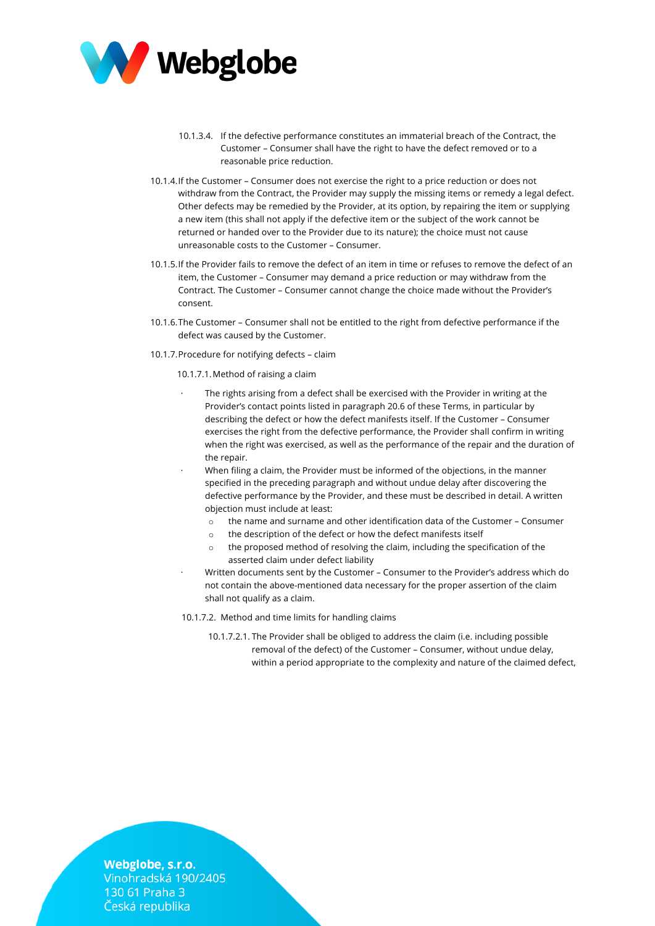

- 10.1.3.4. If the defective performance constitutes an immaterial breach of the Contract, the Customer – Consumer shall have the right to have the defect removed or to a reasonable price reduction.
- 10.1.4.If the Customer Consumer does not exercise the right to a price reduction or does not withdraw from the Contract, the Provider may supply the missing items or remedy a legal defect. Other defects may be remedied by the Provider, at its option, by repairing the item or supplying a new item (this shall not apply if the defective item or the subject of the work cannot be returned or handed over to the Provider due to its nature); the choice must not cause unreasonable costs to the Customer – Consumer.
- 10.1.5.If the Provider fails to remove the defect of an item in time or refuses to remove the defect of an item, the Customer – Consumer may demand a price reduction or may withdraw from the Contract. The Customer – Consumer cannot change the choice made without the Provider's consent.
- 10.1.6.The Customer Consumer shall not be entitled to the right from defective performance if the defect was caused by the Customer.
- 10.1.7.Procedure for notifying defects claim
	- 10.1.7.1.Method of raising a claim
	- The rights arising from a defect shall be exercised with the Provider in writing at the Provider's contact points listed in paragraph 20.6 of these Terms, in particular by describing the defect or how the defect manifests itself. If the Customer – Consumer exercises the right from the defective performance, the Provider shall confirm in writing when the right was exercised, as well as the performance of the repair and the duration of the repair.
	- · When filing a claim, the Provider must be informed of the objections, in the manner specified in the preceding paragraph and without undue delay after discovering the defective performance by the Provider, and these must be described in detail. A written objection must include at least:
		- o the name and surname and other identification data of the Customer Consumer
		- o the description of the defect or how the defect manifests itself
		- o the proposed method of resolving the claim, including the specification of the asserted claim under defect liability
	- · Written documents sent by the Customer Consumer to the Provider's address which do not contain the above-mentioned data necessary for the proper assertion of the claim shall not qualify as a claim.

10.1.7.2. Method and time limits for handling claims

10.1.7.2.1. The Provider shall be obliged to address the claim (i.e. including possible removal of the defect) of the Customer – Consumer, without undue delay, within a period appropriate to the complexity and nature of the claimed defect,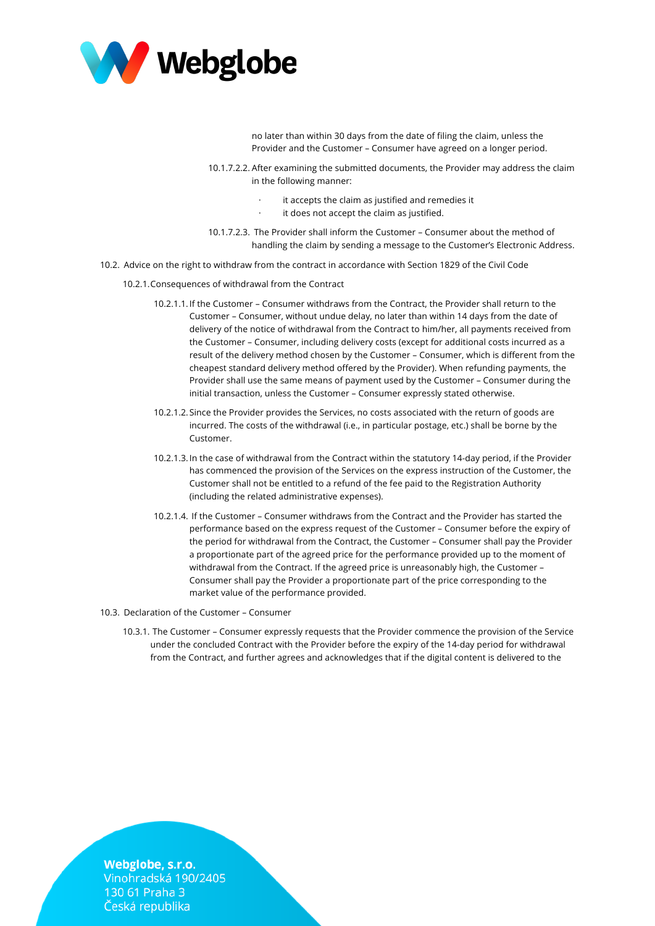

no later than within 30 days from the date of filing the claim, unless the Provider and the Customer – Consumer have agreed on a longer period.

10.1.7.2.2. After examining the submitted documents, the Provider may address the claim in the following manner:

- it accepts the claim as justified and remedies it
- it does not accept the claim as justified.
- 10.1.7.2.3. The Provider shall inform the Customer Consumer about the method of handling the claim by sending a message to the Customer's Electronic Address.
- 10.2. Advice on the right to withdraw from the contract in accordance with Section 1829 of the Civil Code
	- 10.2.1.Consequences of withdrawal from the Contract
		- 10.2.1.1.If the Customer Consumer withdraws from the Contract, the Provider shall return to the Customer – Consumer, without undue delay, no later than within 14 days from the date of delivery of the notice of withdrawal from the Contract to him/her, all payments received from the Customer – Consumer, including delivery costs (except for additional costs incurred as a result of the delivery method chosen by the Customer – Consumer, which is different from the cheapest standard delivery method offered by the Provider). When refunding payments, the Provider shall use the same means of payment used by the Customer – Consumer during the initial transaction, unless the Customer – Consumer expressly stated otherwise.
		- 10.2.1.2.Since the Provider provides the Services, no costs associated with the return of goods are incurred. The costs of the withdrawal (i.e., in particular postage, etc.) shall be borne by the Customer.
		- 10.2.1.3.In the case of withdrawal from the Contract within the statutory 14-day period, if the Provider has commenced the provision of the Services on the express instruction of the Customer, the Customer shall not be entitled to a refund of the fee paid to the Registration Authority (including the related administrative expenses).
		- 10.2.1.4. If the Customer Consumer withdraws from the Contract and the Provider has started the performance based on the express request of the Customer – Consumer before the expiry of the period for withdrawal from the Contract, the Customer – Consumer shall pay the Provider a proportionate part of the agreed price for the performance provided up to the moment of withdrawal from the Contract. If the agreed price is unreasonably high, the Customer – Consumer shall pay the Provider a proportionate part of the price corresponding to the market value of the performance provided.
- 10.3. Declaration of the Customer Consumer
	- 10.3.1. The Customer Consumer expressly requests that the Provider commence the provision of the Service under the concluded Contract with the Provider before the expiry of the 14-day period for withdrawal from the Contract, and further agrees and acknowledges that if the digital content is delivered to the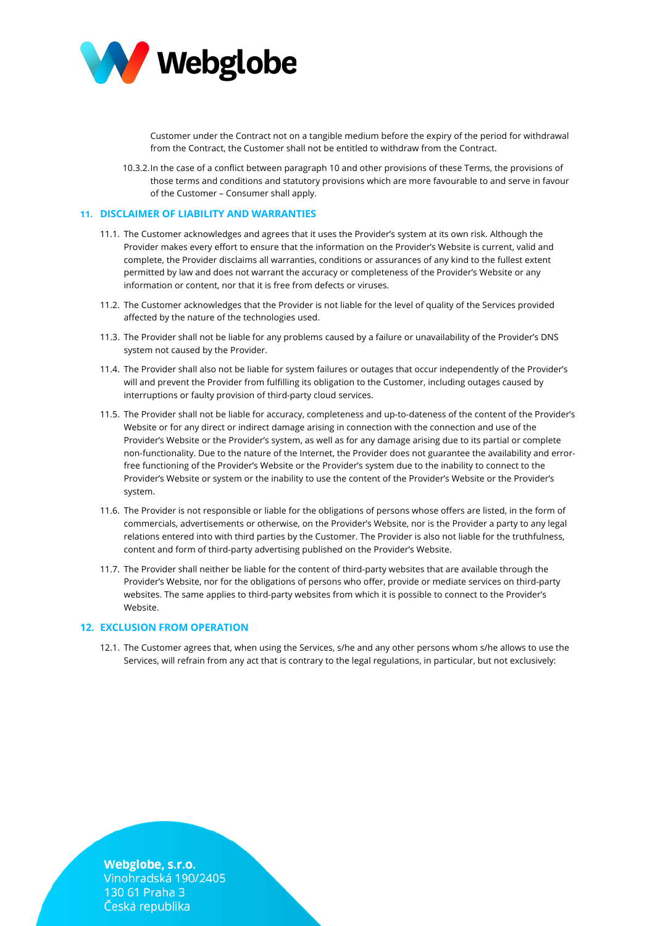

Customer under the Contract not on a tangible medium before the expiry of the period for withdrawal from the Contract, the Customer shall not be entitled to withdraw from the Contract.

10.3.2.In the case of a conflict between paragraph 10 and other provisions of these Terms, the provisions of those terms and conditions and statutory provisions which are more favourable to and serve in favour of the Customer – Consumer shall apply.

## **11. DISCLAIMER OF LIABILITY AND WARRANTIES**

- 11.1. The Customer acknowledges and agrees that it uses the Provider's system at its own risk. Although the Provider makes every effort to ensure that the information on the Provider's Website is current, valid and complete, the Provider disclaims all warranties, conditions or assurances of any kind to the fullest extent permitted by law and does not warrant the accuracy or completeness of the Provider's Website or any information or content, nor that it is free from defects or viruses.
- 11.2. The Customer acknowledges that the Provider is not liable for the level of quality of the Services provided affected by the nature of the technologies used.
- 11.3. The Provider shall not be liable for any problems caused by a failure or unavailability of the Provider's DNS system not caused by the Provider.
- 11.4. The Provider shall also not be liable for system failures or outages that occur independently of the Provider's will and prevent the Provider from fulfilling its obligation to the Customer, including outages caused by interruptions or faulty provision of third-party cloud services.
- 11.5. The Provider shall not be liable for accuracy, completeness and up-to-dateness of the content of the Provider's Website or for any direct or indirect damage arising in connection with the connection and use of the Provider's Website or the Provider's system, as well as for any damage arising due to its partial or complete non-functionality. Due to the nature of the Internet, the Provider does not guarantee the availability and errorfree functioning of the Provider's Website or the Provider's system due to the inability to connect to the Provider's Website or system or the inability to use the content of the Provider's Website or the Provider's system.
- 11.6. The Provider is not responsible or liable for the obligations of persons whose offers are listed, in the form of commercials, advertisements or otherwise, on the Provider's Website, nor is the Provider a party to any legal relations entered into with third parties by the Customer. The Provider is also not liable for the truthfulness, content and form of third-party advertising published on the Provider's Website.
- 11.7. The Provider shall neither be liable for the content of third-party websites that are available through the Provider's Website, nor for the obligations of persons who offer, provide or mediate services on third-party websites. The same applies to third-party websites from which it is possible to connect to the Provider's Website.

## **12. EXCLUSION FROM OPERATION**

12.1. The Customer agrees that, when using the Services, s/he and any other persons whom s/he allows to use the Services, will refrain from any act that is contrary to the legal regulations, in particular, but not exclusively: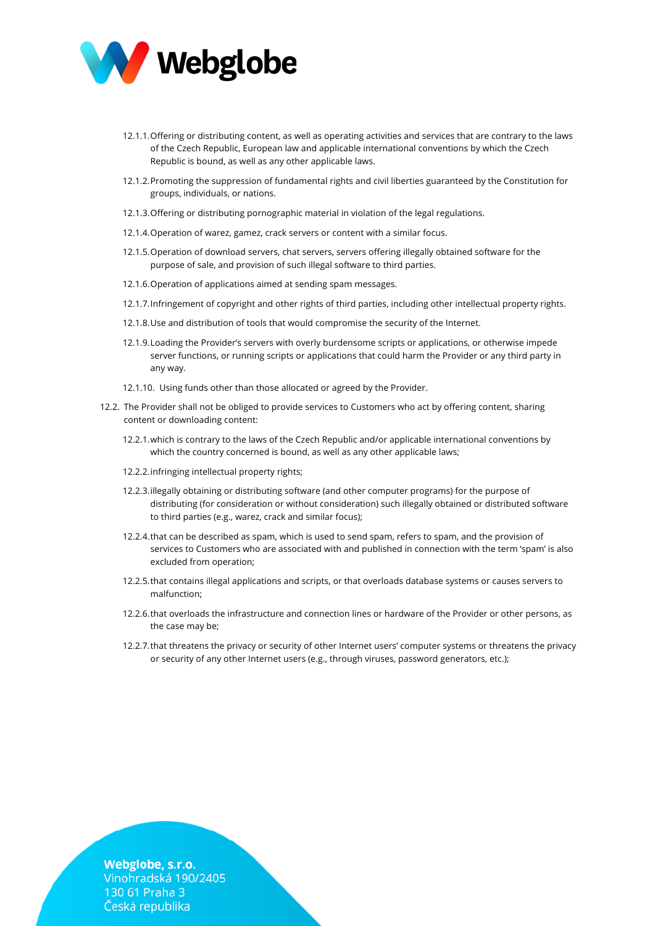

- 12.1.1.Offering or distributing content, as well as operating activities and services that are contrary to the laws of the Czech Republic, European law and applicable international conventions by which the Czech Republic is bound, as well as any other applicable laws.
- 12.1.2.Promoting the suppression of fundamental rights and civil liberties guaranteed by the Constitution for groups, individuals, or nations.
- 12.1.3.Offering or distributing pornographic material in violation of the legal regulations.
- 12.1.4.Operation of warez, gamez, crack servers or content with a similar focus.
- 12.1.5.Operation of download servers, chat servers, servers offering illegally obtained software for the purpose of sale, and provision of such illegal software to third parties.
- 12.1.6.Operation of applications aimed at sending spam messages.
- 12.1.7.Infringement of copyright and other rights of third parties, including other intellectual property rights.
- 12.1.8.Use and distribution of tools that would compromise the security of the Internet.
- 12.1.9.Loading the Provider's servers with overly burdensome scripts or applications, or otherwise impede server functions, or running scripts or applications that could harm the Provider or any third party in any way.
- 12.1.10. Using funds other than those allocated or agreed by the Provider.
- 12.2. The Provider shall not be obliged to provide services to Customers who act by offering content, sharing content or downloading content:
	- 12.2.1.which is contrary to the laws of the Czech Republic and/or applicable international conventions by which the country concerned is bound, as well as any other applicable laws;
	- 12.2.2.infringing intellectual property rights;
	- 12.2.3.illegally obtaining or distributing software (and other computer programs) for the purpose of distributing (for consideration or without consideration) such illegally obtained or distributed software to third parties (e.g., warez, crack and similar focus);
	- 12.2.4.that can be described as spam, which is used to send spam, refers to spam, and the provision of services to Customers who are associated with and published in connection with the term 'spam' is also excluded from operation;
	- 12.2.5.that contains illegal applications and scripts, or that overloads database systems or causes servers to malfunction;
	- 12.2.6.that overloads the infrastructure and connection lines or hardware of the Provider or other persons, as the case may be;
	- 12.2.7.that threatens the privacy or security of other Internet users' computer systems or threatens the privacy or security of any other Internet users (e.g., through viruses, password generators, etc.);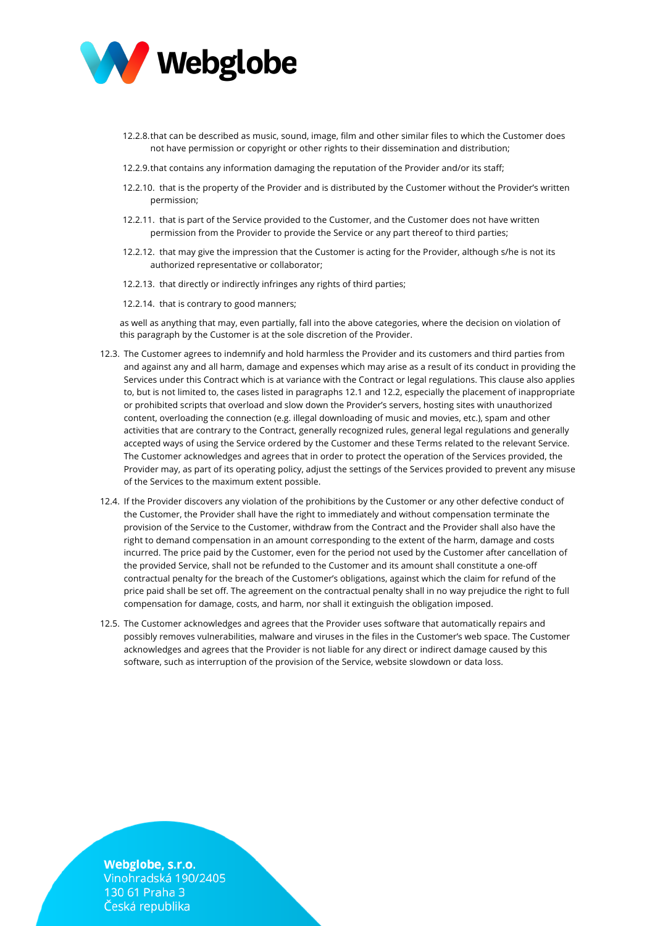

- 12.2.8.that can be described as music, sound, image, film and other similar files to which the Customer does not have permission or copyright or other rights to their dissemination and distribution;
- 12.2.9.that contains any information damaging the reputation of the Provider and/or its staff;
- 12.2.10. that is the property of the Provider and is distributed by the Customer without the Provider's written permission;
- 12.2.11. that is part of the Service provided to the Customer, and the Customer does not have written permission from the Provider to provide the Service or any part thereof to third parties;
- 12.2.12. that may give the impression that the Customer is acting for the Provider, although s/he is not its authorized representative or collaborator;
- 12.2.13. that directly or indirectly infringes any rights of third parties;
- 12.2.14. that is contrary to good manners;

as well as anything that may, even partially, fall into the above categories, where the decision on violation of this paragraph by the Customer is at the sole discretion of the Provider.

- 12.3. The Customer agrees to indemnify and hold harmless the Provider and its customers and third parties from and against any and all harm, damage and expenses which may arise as a result of its conduct in providing the Services under this Contract which is at variance with the Contract or legal regulations. This clause also applies to, but is not limited to, the cases listed in paragraphs 12.1 and 12.2, especially the placement of inappropriate or prohibited scripts that overload and slow down the Provider's servers, hosting sites with unauthorized content, overloading the connection (e.g. illegal downloading of music and movies, etc.), spam and other activities that are contrary to the Contract, generally recognized rules, general legal regulations and generally accepted ways of using the Service ordered by the Customer and these Terms related to the relevant Service. The Customer acknowledges and agrees that in order to protect the operation of the Services provided, the Provider may, as part of its operating policy, adjust the settings of the Services provided to prevent any misuse of the Services to the maximum extent possible.
- 12.4. If the Provider discovers any violation of the prohibitions by the Customer or any other defective conduct of the Customer, the Provider shall have the right to immediately and without compensation terminate the provision of the Service to the Customer, withdraw from the Contract and the Provider shall also have the right to demand compensation in an amount corresponding to the extent of the harm, damage and costs incurred. The price paid by the Customer, even for the period not used by the Customer after cancellation of the provided Service, shall not be refunded to the Customer and its amount shall constitute a one-off contractual penalty for the breach of the Customer's obligations, against which the claim for refund of the price paid shall be set off. The agreement on the contractual penalty shall in no way prejudice the right to full compensation for damage, costs, and harm, nor shall it extinguish the obligation imposed.
- 12.5. The Customer acknowledges and agrees that the Provider uses software that automatically repairs and possibly removes vulnerabilities, malware and viruses in the files in the Customer's web space. The Customer acknowledges and agrees that the Provider is not liable for any direct or indirect damage caused by this software, such as interruption of the provision of the Service, website slowdown or data loss.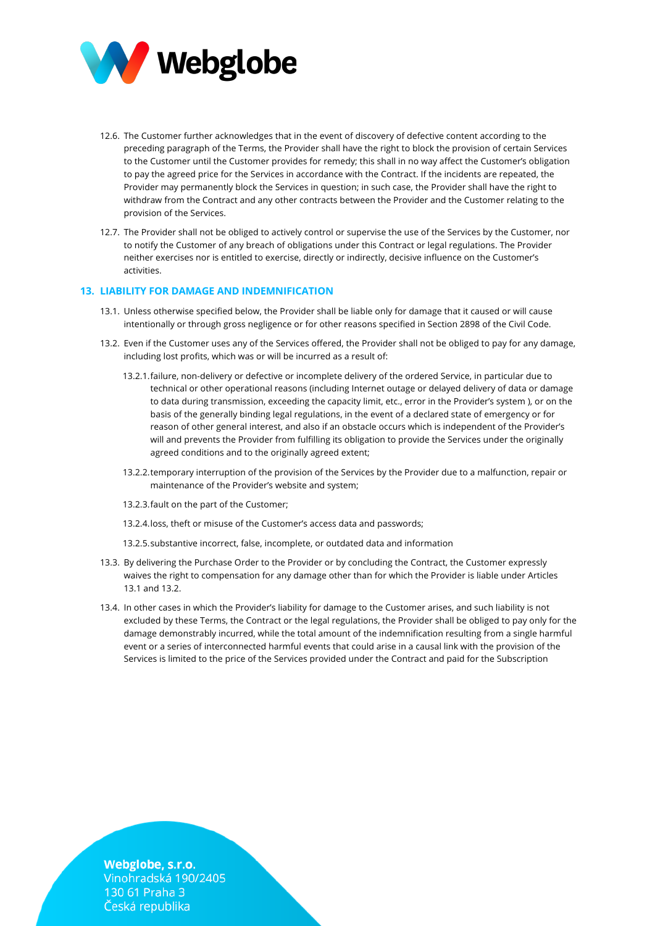

- 12.6. The Customer further acknowledges that in the event of discovery of defective content according to the preceding paragraph of the Terms, the Provider shall have the right to block the provision of certain Services to the Customer until the Customer provides for remedy; this shall in no way affect the Customer's obligation to pay the agreed price for the Services in accordance with the Contract. If the incidents are repeated, the Provider may permanently block the Services in question; in such case, the Provider shall have the right to withdraw from the Contract and any other contracts between the Provider and the Customer relating to the provision of the Services.
- 12.7. The Provider shall not be obliged to actively control or supervise the use of the Services by the Customer, nor to notify the Customer of any breach of obligations under this Contract or legal regulations. The Provider neither exercises nor is entitled to exercise, directly or indirectly, decisive influence on the Customer's activities.

## **13. LIABILITY FOR DAMAGE AND INDEMNIFICATION**

- 13.1. Unless otherwise specified below, the Provider shall be liable only for damage that it caused or will cause intentionally or through gross negligence or for other reasons specified in Section 2898 of the Civil Code.
- 13.2. Even if the Customer uses any of the Services offered, the Provider shall not be obliged to pay for any damage, including lost profits, which was or will be incurred as a result of:
	- 13.2.1.failure, non-delivery or defective or incomplete delivery of the ordered Service, in particular due to technical or other operational reasons (including Internet outage or delayed delivery of data or damage to data during transmission, exceeding the capacity limit, etc., error in the Provider's system ), or on the basis of the generally binding legal regulations, in the event of a declared state of emergency or for reason of other general interest, and also if an obstacle occurs which is independent of the Provider's will and prevents the Provider from fulfilling its obligation to provide the Services under the originally agreed conditions and to the originally agreed extent;
	- 13.2.2.temporary interruption of the provision of the Services by the Provider due to a malfunction, repair or maintenance of the Provider's website and system;
	- 13.2.3.fault on the part of the Customer;
	- 13.2.4.loss, theft or misuse of the Customer's access data and passwords;
	- 13.2.5.substantive incorrect, false, incomplete, or outdated data and information
- 13.3. By delivering the Purchase Order to the Provider or by concluding the Contract, the Customer expressly waives the right to compensation for any damage other than for which the Provider is liable under Articles 13.1 and 13.2.
- 13.4. In other cases in which the Provider's liability for damage to the Customer arises, and such liability is not excluded by these Terms, the Contract or the legal regulations, the Provider shall be obliged to pay only for the damage demonstrably incurred, while the total amount of the indemnification resulting from a single harmful event or a series of interconnected harmful events that could arise in a causal link with the provision of the Services is limited to the price of the Services provided under the Contract and paid for the Subscription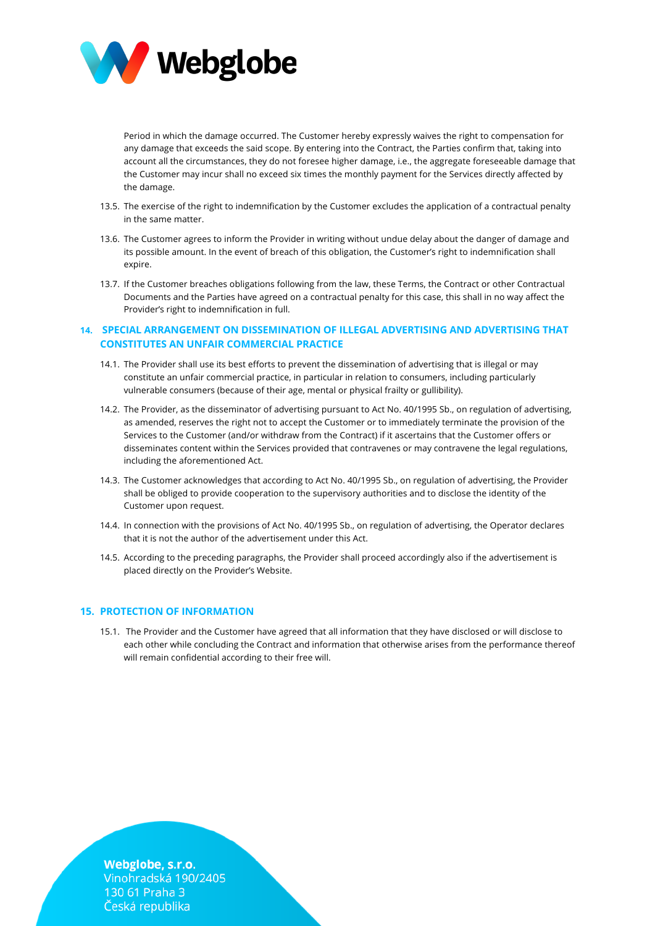

Period in which the damage occurred. The Customer hereby expressly waives the right to compensation for any damage that exceeds the said scope. By entering into the Contract, the Parties confirm that, taking into account all the circumstances, they do not foresee higher damage, i.e., the aggregate foreseeable damage that the Customer may incur shall no exceed six times the monthly payment for the Services directly affected by the damage.

- 13.5. The exercise of the right to indemnification by the Customer excludes the application of a contractual penalty in the same matter.
- 13.6. The Customer agrees to inform the Provider in writing without undue delay about the danger of damage and its possible amount. In the event of breach of this obligation, the Customer's right to indemnification shall expire.
- 13.7. If the Customer breaches obligations following from the law, these Terms, the Contract or other Contractual Documents and the Parties have agreed on a contractual penalty for this case, this shall in no way affect the Provider's right to indemnification in full.

# **14. SPECIAL ARRANGEMENT ON DISSEMINATION OF ILLEGAL ADVERTISING AND ADVERTISING THAT CONSTITUTES AN UNFAIR COMMERCIAL PRACTICE**

- 14.1. The Provider shall use its best efforts to prevent the dissemination of advertising that is illegal or may constitute an unfair commercial practice, in particular in relation to consumers, including particularly vulnerable consumers (because of their age, mental or physical frailty or gullibility).
- 14.2. The Provider, as the disseminator of advertising pursuant to Act No. 40/1995 Sb., on regulation of advertising, as amended, reserves the right not to accept the Customer or to immediately terminate the provision of the Services to the Customer (and/or withdraw from the Contract) if it ascertains that the Customer offers or disseminates content within the Services provided that contravenes or may contravene the legal regulations, including the aforementioned Act.
- 14.3. The Customer acknowledges that according to Act No. 40/1995 Sb., on regulation of advertising, the Provider shall be obliged to provide cooperation to the supervisory authorities and to disclose the identity of the Customer upon request.
- 14.4. In connection with the provisions of Act No. 40/1995 Sb., on regulation of advertising, the Operator declares that it is not the author of the advertisement under this Act.
- 14.5. According to the preceding paragraphs, the Provider shall proceed accordingly also if the advertisement is placed directly on the Provider's Website.

# **15. PROTECTION OF INFORMATION**

15.1. The Provider and the Customer have agreed that all information that they have disclosed or will disclose to each other while concluding the Contract and information that otherwise arises from the performance thereof will remain confidential according to their free will.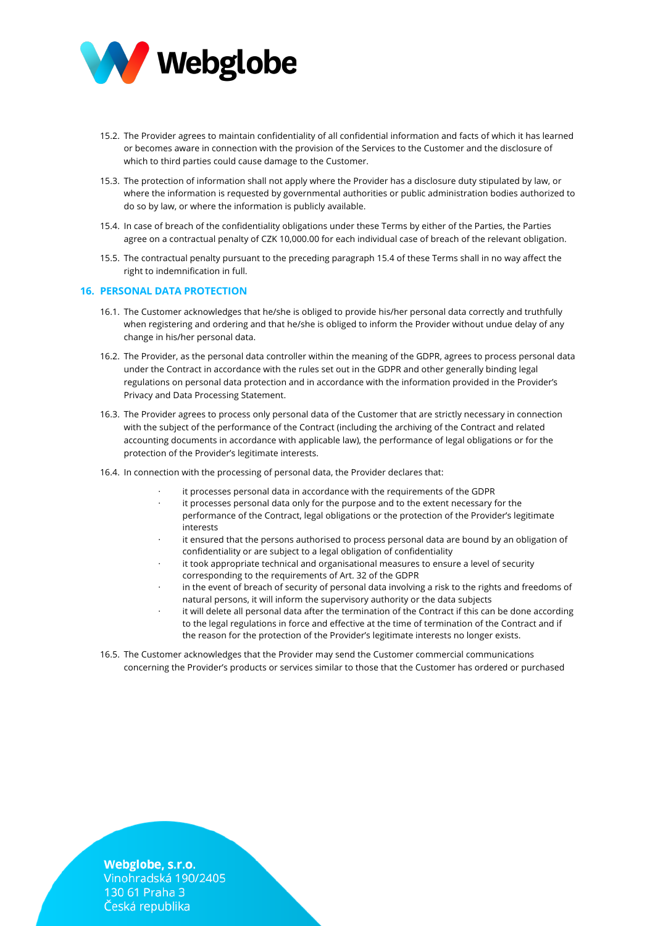

- 15.2. The Provider agrees to maintain confidentiality of all confidential information and facts of which it has learned or becomes aware in connection with the provision of the Services to the Customer and the disclosure of which to third parties could cause damage to the Customer.
- 15.3. The protection of information shall not apply where the Provider has a disclosure duty stipulated by law, or where the information is requested by governmental authorities or public administration bodies authorized to do so by law, or where the information is publicly available.
- 15.4. In case of breach of the confidentiality obligations under these Terms by either of the Parties, the Parties agree on a contractual penalty of CZK 10,000.00 for each individual case of breach of the relevant obligation.
- 15.5. The contractual penalty pursuant to the preceding paragraph 15.4 of these Terms shall in no way affect the right to indemnification in full.

## **16. PERSONAL DATA PROTECTION**

- 16.1. The Customer acknowledges that he/she is obliged to provide his/her personal data correctly and truthfully when registering and ordering and that he/she is obliged to inform the Provider without undue delay of any change in his/her personal data.
- 16.2. The Provider, as the personal data controller within the meaning of the GDPR, agrees to process personal data under the Contract in accordance with the rules set out in the GDPR and other generally binding legal regulations on personal data protection and in accordance with the information provided in the Provider's Privacy and Data Processing Statement.
- 16.3. The Provider agrees to process only personal data of the Customer that are strictly necessary in connection with the subject of the performance of the Contract (including the archiving of the Contract and related accounting documents in accordance with applicable law), the performance of legal obligations or for the protection of the Provider's legitimate interests.
- 16.4. In connection with the processing of personal data, the Provider declares that:
	- it processes personal data in accordance with the requirements of the GDPR
	- it processes personal data only for the purpose and to the extent necessary for the performance of the Contract, legal obligations or the protection of the Provider's legitimate interests
	- it ensured that the persons authorised to process personal data are bound by an obligation of confidentiality or are subject to a legal obligation of confidentiality
	- it took appropriate technical and organisational measures to ensure a level of security corresponding to the requirements of Art. 32 of the GDPR
	- in the event of breach of security of personal data involving a risk to the rights and freedoms of natural persons, it will inform the supervisory authority or the data subjects
	- it will delete all personal data after the termination of the Contract if this can be done according to the legal regulations in force and effective at the time of termination of the Contract and if the reason for the protection of the Provider's legitimate interests no longer exists.
- 16.5. The Customer acknowledges that the Provider may send the Customer commercial communications concerning the Provider's products or services similar to those that the Customer has ordered or purchased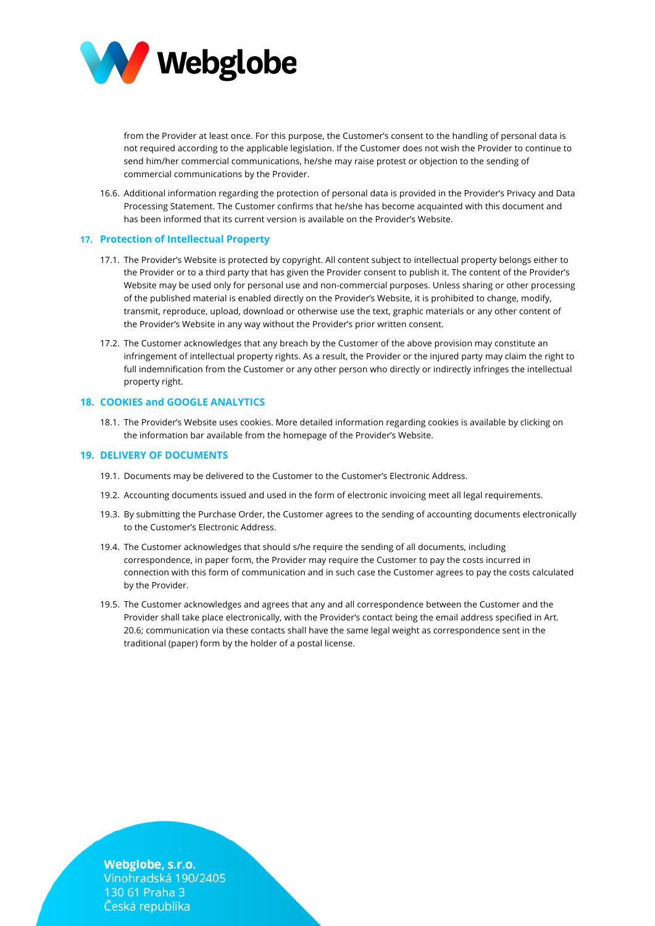

from the Provider at least once. For this purpose, the Customer's consent to the handling of personal data is not required according to the applicable legislation. If the Customer does not wish the Provider to continue to send him/her commercial communications, he/she may raise protest or objection to the sending of commercial communications by the Provider.

16.6. Additional information regarding the protection of personal data is provided in the Provider's Privacy and Data Processing Statement. The Customer confirms that he/she has become acquainted with this document and has been informed that its current version is available on the Provider's Website.

## **17. Protection of Intellectual Property**

- 17.1. The Provider's Website is protected by copyright. All content subject to intellectual property belongs either to the Provider or to a third party that has given the Provider consent to publish it. The content of the Provider's Website may be used only for personal use and non-commercial purposes. Unless sharing or other processing of the published material is enabled directly on the Provider's Website, it is prohibited to change, modify, transmit, reproduce, upload, download or otherwise use the text, graphic materials or any other content of the Provider's Website in any way without the Provider's prior written consent.
- 17.2. The Customer acknowledges that any breach by the Customer of the above provision may constitute an infringement of intellectual property rights. As a result, the Provider or the injured party may claim the right to full indemnification from the Customer or any other person who directly or indirectly infringes the intellectual property right.

# **18. COOKIES and GOOGLE ANALYTICS**

18.1. The Provider's Website uses cookies. More detailed information regarding cookies is available by clicking on the information bar available from the homepage of the Provider's Website.

# **19. DELIVERY OF DOCUMENTS**

- 19.1. Documents may be delivered to the Customer to the Customer's Electronic Address.
- 19.2. Accounting documents issued and used in the form of electronic invoicing meet all legal requirements.
- 19.3. By submitting the Purchase Order, the Customer agrees to the sending of accounting documents electronically to the Customer's Electronic Address.
- 19.4. The Customer acknowledges that should s/he require the sending of all documents, including correspondence, in paper form, the Provider may require the Customer to pay the costs incurred in connection with this form of communication and in such case the Customer agrees to pay the costs calculated by the Provider.
- 19.5. The Customer acknowledges and agrees that any and all correspondence between the Customer and the Provider shall take place electronically, with the Provider's contact being the email address specified in Art. 20.6; communication via these contacts shall have the same legal weight as correspondence sent in the traditional (paper) form by the holder of a postal license.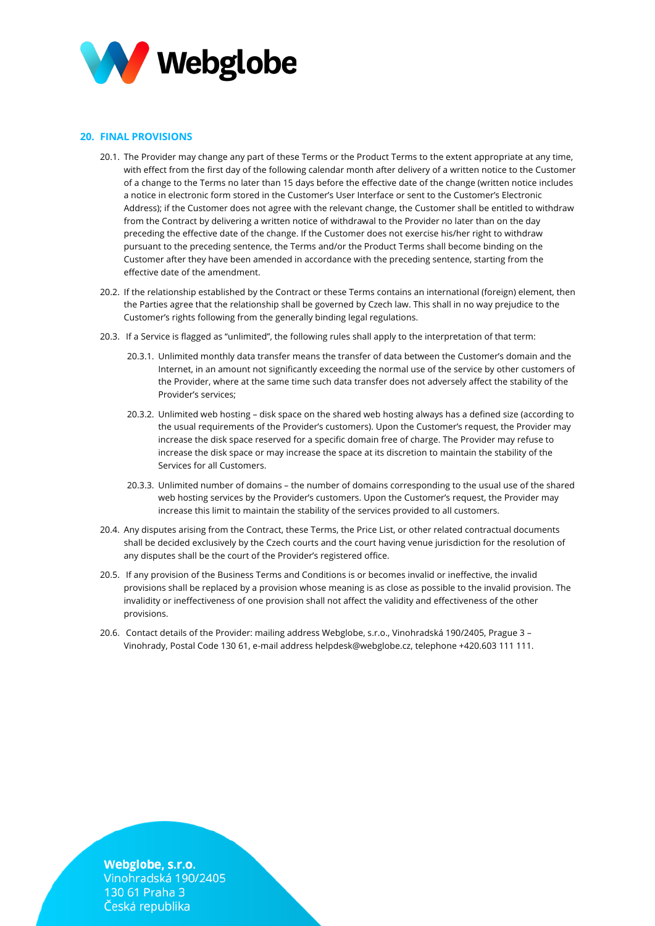

# **20. FINAL PROVISIONS**

- 20.1. The Provider may change any part of these Terms or the Product Terms to the extent appropriate at any time, with effect from the first day of the following calendar month after delivery of a written notice to the Customer of a change to the Terms no later than 15 days before the effective date of the change (written notice includes a notice in electronic form stored in the Customer's User Interface or sent to the Customer's Electronic Address); if the Customer does not agree with the relevant change, the Customer shall be entitled to withdraw from the Contract by delivering a written notice of withdrawal to the Provider no later than on the day preceding the effective date of the change. If the Customer does not exercise his/her right to withdraw pursuant to the preceding sentence, the Terms and/or the Product Terms shall become binding on the Customer after they have been amended in accordance with the preceding sentence, starting from the effective date of the amendment.
- 20.2. If the relationship established by the Contract or these Terms contains an international (foreign) element, then the Parties agree that the relationship shall be governed by Czech law. This shall in no way prejudice to the Customer's rights following from the generally binding legal regulations.
- 20.3. If a Service is flagged as "unlimited", the following rules shall apply to the interpretation of that term:
	- 20.3.1. Unlimited monthly data transfer means the transfer of data between the Customer's domain and the Internet, in an amount not significantly exceeding the normal use of the service by other customers of the Provider, where at the same time such data transfer does not adversely affect the stability of the Provider's services;
	- 20.3.2. Unlimited web hosting disk space on the shared web hosting always has a defined size (according to the usual requirements of the Provider's customers). Upon the Customer's request, the Provider may increase the disk space reserved for a specific domain free of charge. The Provider may refuse to increase the disk space or may increase the space at its discretion to maintain the stability of the Services for all Customers.
	- 20.3.3. Unlimited number of domains the number of domains corresponding to the usual use of the shared web hosting services by the Provider's customers. Upon the Customer's request, the Provider may increase this limit to maintain the stability of the services provided to all customers.
- 20.4. Any disputes arising from the Contract, these Terms, the Price List, or other related contractual documents shall be decided exclusively by the Czech courts and the court having venue jurisdiction for the resolution of any disputes shall be the court of the Provider's registered office.
- 20.5. If any provision of the Business Terms and Conditions is or becomes invalid or ineffective, the invalid provisions shall be replaced by a provision whose meaning is as close as possible to the invalid provision. The invalidity or ineffectiveness of one provision shall not affect the validity and effectiveness of the other provisions.
- 20.6. Contact details of the Provider: mailing address Webglobe, s.r.o., Vinohradská 190/2405, Prague 3 Vinohrady, Postal Code 130 61, e-mail address helpdesk@webglobe.cz, telephone +420.603 111 111.